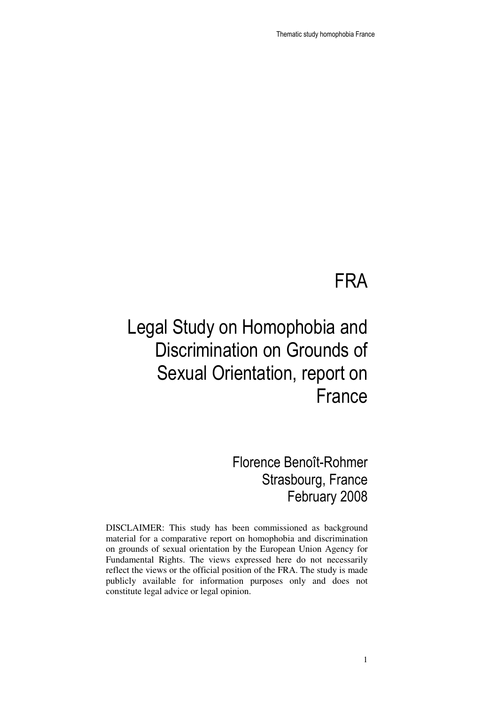Thematic study homophobia France

# FRA

# Legal Study on Homophobia and Discrimination on Grounds of Sexual Orientation, report on **France**

Florence Benoît-Rohmer Strasbourg, France February 2008

DISCLAIMER: This study has been commissioned as background material for a comparative report on homophobia and discrimination on grounds of sexual orientation by the European Union Agency for Fundamental Rights. The views expressed here do not necessarily reflect the views or the official position of the FRA. The study is made publicly available for information purposes only and does not constitute legal advice or legal opinion.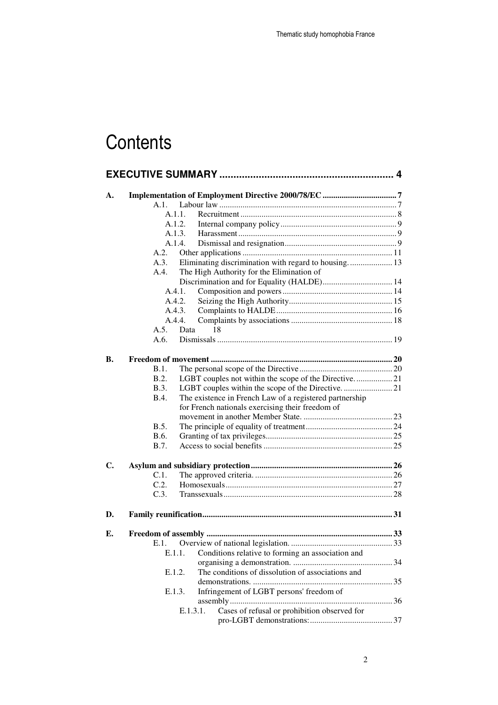# **Contents**

| А.        |                                                                        |  |
|-----------|------------------------------------------------------------------------|--|
|           | A.1.                                                                   |  |
|           | A.1.1.                                                                 |  |
|           | A.1.2.                                                                 |  |
|           | A.1.3.                                                                 |  |
|           | A.1.4.                                                                 |  |
|           | A.2.                                                                   |  |
|           | Eliminating discrimination with regard to housing 13<br>A.3            |  |
|           | The High Authority for the Elimination of<br>A.4.                      |  |
|           | Discrimination and for Equality (HALDE) 14                             |  |
|           | A.4.1.                                                                 |  |
|           | A.4.2.                                                                 |  |
|           | A.4.3.                                                                 |  |
|           | A.4.4.                                                                 |  |
|           | A.5.<br>18<br>Data                                                     |  |
|           | A.6.                                                                   |  |
| <b>B.</b> |                                                                        |  |
|           | B.1.                                                                   |  |
|           | B.2.<br>LGBT couples not within the scope of the Directive 21          |  |
|           | B.3.                                                                   |  |
|           | The existence in French Law of a registered partnership<br><b>B.4.</b> |  |
|           | for French nationals exercising their freedom of                       |  |
|           |                                                                        |  |
|           | B.5.                                                                   |  |
|           | B.6.                                                                   |  |
|           | <b>B.7.</b>                                                            |  |
|           |                                                                        |  |
| C.        |                                                                        |  |
|           | C.1.                                                                   |  |
|           | C.2.<br>C.3                                                            |  |
|           |                                                                        |  |
| D.        |                                                                        |  |
|           |                                                                        |  |
| Е.        |                                                                        |  |
|           |                                                                        |  |
|           | Conditions relative to forming an association and<br>E.1.1.            |  |
|           |                                                                        |  |
|           | The conditions of dissolution of associations and<br>E.1.2.            |  |
|           |                                                                        |  |
|           | E.1.3.<br>Infringement of LGBT persons' freedom of                     |  |
|           |                                                                        |  |
|           | Cases of refusal or prohibition observed for<br>E.1.3.1.               |  |
|           |                                                                        |  |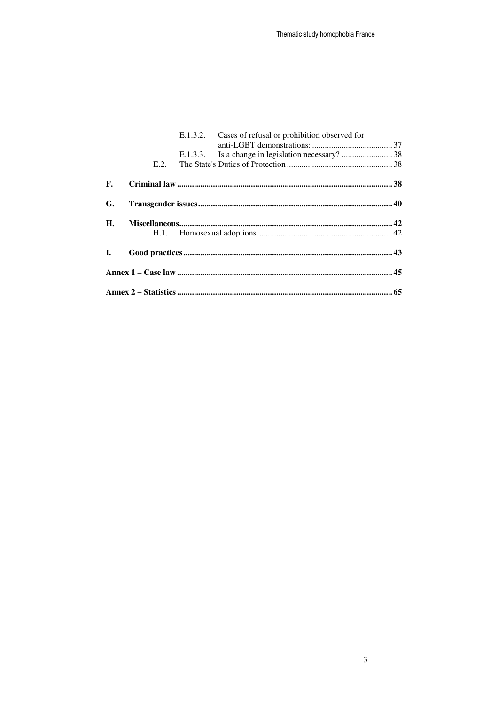|    |      |  | E.1.3.2. Cases of refusal or prohibition observed for |  |
|----|------|--|-------------------------------------------------------|--|
|    |      |  |                                                       |  |
|    |      |  |                                                       |  |
|    | E.2. |  |                                                       |  |
| F. |      |  |                                                       |  |
| G. |      |  |                                                       |  |
| Н. |      |  |                                                       |  |
|    | H.1. |  |                                                       |  |
| L. |      |  |                                                       |  |
|    |      |  |                                                       |  |
|    |      |  |                                                       |  |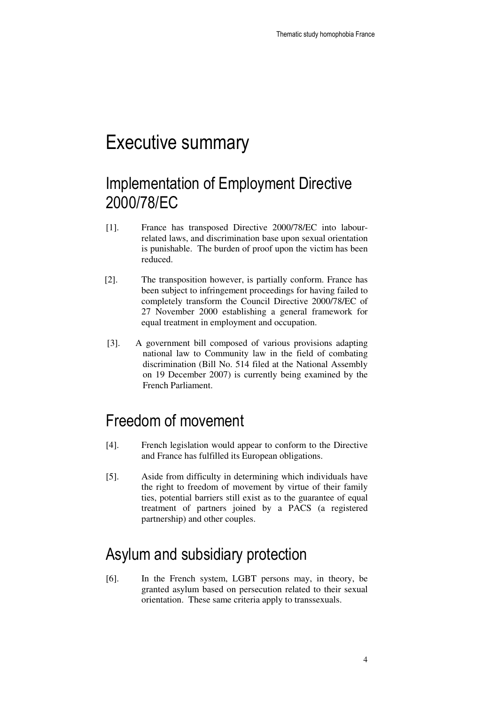# Executive summary

## Implementation of Employment Directive 2000/78/EC

- [1]. France has transposed Directive 2000/78/EC into labourrelated laws, and discrimination base upon sexual orientation is punishable. The burden of proof upon the victim has been reduced.
- [2]. The transposition however, is partially conform. France has been subject to infringement proceedings for having failed to completely transform the Council Directive 2000/78/EC of 27 November 2000 establishing a general framework for equal treatment in employment and occupation.
- [3]. A government bill composed of various provisions adapting national law to Community law in the field of combating discrimination (Bill No. 514 filed at the National Assembly on 19 December 2007) is currently being examined by the French Parliament.

## Freedom of movement

- [4]. French legislation would appear to conform to the Directive and France has fulfilled its European obligations.
- [5]. Aside from difficulty in determining which individuals have the right to freedom of movement by virtue of their family ties, potential barriers still exist as to the guarantee of equal treatment of partners joined by a PACS (a registered partnership) and other couples.

## Asylum and subsidiary protection

[6]. In the French system, LGBT persons may, in theory, be granted asylum based on persecution related to their sexual orientation. These same criteria apply to transsexuals.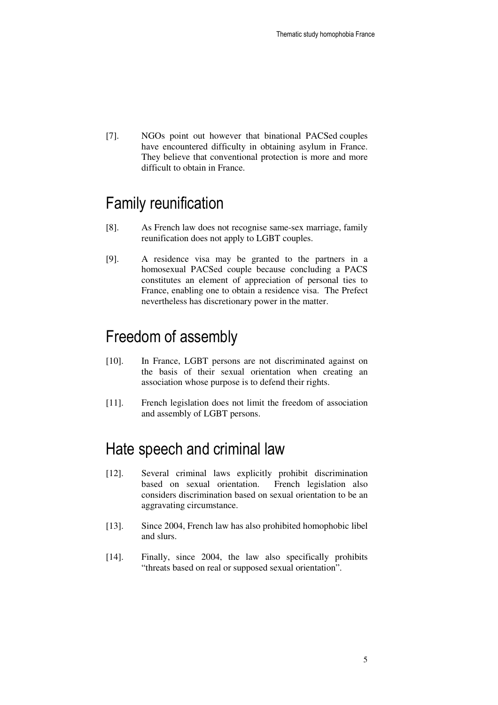[7]. NGOs point out however that binational PACSed couples have encountered difficulty in obtaining asylum in France. They believe that conventional protection is more and more difficult to obtain in France.

## Family reunification

- [8]. As French law does not recognise same-sex marriage, family reunification does not apply to LGBT couples.
- [9]. A residence visa may be granted to the partners in a homosexual PACSed couple because concluding a PACS constitutes an element of appreciation of personal ties to France, enabling one to obtain a residence visa. The Prefect nevertheless has discretionary power in the matter.

## Freedom of assembly

- [10]. In France, LGBT persons are not discriminated against on the basis of their sexual orientation when creating an association whose purpose is to defend their rights.
- [11]. French legislation does not limit the freedom of association and assembly of LGBT persons.

## Hate speech and criminal law

- [12]. Several criminal laws explicitly prohibit discrimination based on sexual orientation. French legislation also considers discrimination based on sexual orientation to be an aggravating circumstance.
- [13]. Since 2004, French law has also prohibited homophobic libel and slurs.
- [14]. Finally, since 2004, the law also specifically prohibits "threats based on real or supposed sexual orientation".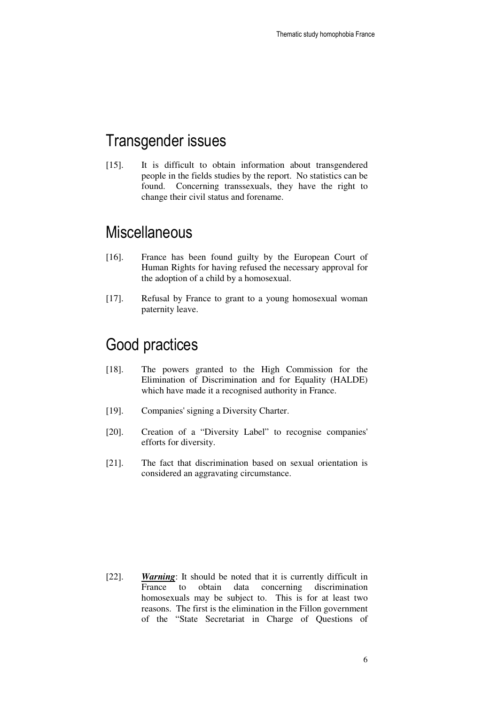## Transgender issues

[15]. It is difficult to obtain information about transgendered people in the fields studies by the report. No statistics can be found. Concerning transsexuals, they have the right to change their civil status and forename.

## **Miscellaneous**

- [16]. France has been found guilty by the European Court of Human Rights for having refused the necessary approval for the adoption of a child by a homosexual.
- [17]. Refusal by France to grant to a young homosexual woman paternity leave.

## Good practices

- [18]. The powers granted to the High Commission for the Elimination of Discrimination and for Equality (HALDE) which have made it a recognised authority in France.
- [19]. Companies' signing a Diversity Charter.
- [20]. Creation of a "Diversity Label" to recognise companies' efforts for diversity.
- [21]. The fact that discrimination based on sexual orientation is considered an aggravating circumstance.

[22]. *Warning*: It should be noted that it is currently difficult in France to obtain data concerning discrimination homosexuals may be subject to. This is for at least two reasons. The first is the elimination in the Fillon government of the "State Secretariat in Charge of Questions of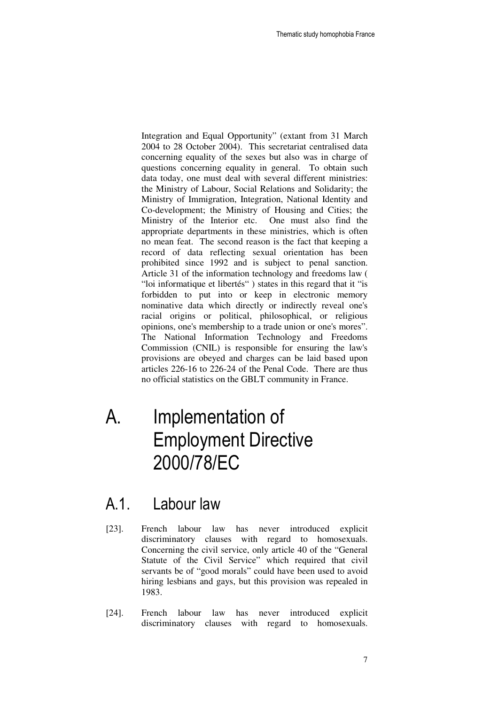Integration and Equal Opportunity" (extant from 31 March 2004 to 28 October 2004). This secretariat centralised data concerning equality of the sexes but also was in charge of questions concerning equality in general. To obtain such data today, one must deal with several different ministries: the Ministry of Labour, Social Relations and Solidarity; the Ministry of Immigration, Integration, National Identity and Co-development; the Ministry of Housing and Cities; the Ministry of the Interior etc. One must also find the appropriate departments in these ministries, which is often no mean feat. The second reason is the fact that keeping a record of data reflecting sexual orientation has been prohibited since 1992 and is subject to penal sanction. Article 31 of the information technology and freedoms law ( "loi informatique et libertés" ) states in this regard that it "is forbidden to put into or keep in electronic memory nominative data which directly or indirectly reveal one's racial origins or political, philosophical, or religious opinions, one's membership to a trade union or one's mores". The National Information Technology and Freedoms Commission (CNIL) is responsible for ensuring the law's provisions are obeyed and charges can be laid based upon articles 226-16 to 226-24 of the Penal Code. There are thus no official statistics on the GBLT community in France.

# A. Implementation of Employment Directive 2000/78/EC

## A.1. Labour law

- [23]. French labour law has never introduced explicit discriminatory clauses with regard to homosexuals. Concerning the civil service, only article 40 of the "General Statute of the Civil Service" which required that civil servants be of "good morals" could have been used to avoid hiring lesbians and gays, but this provision was repealed in 1983.
- [24]. French labour law has never introduced explicit discriminatory clauses with regard to homosexuals.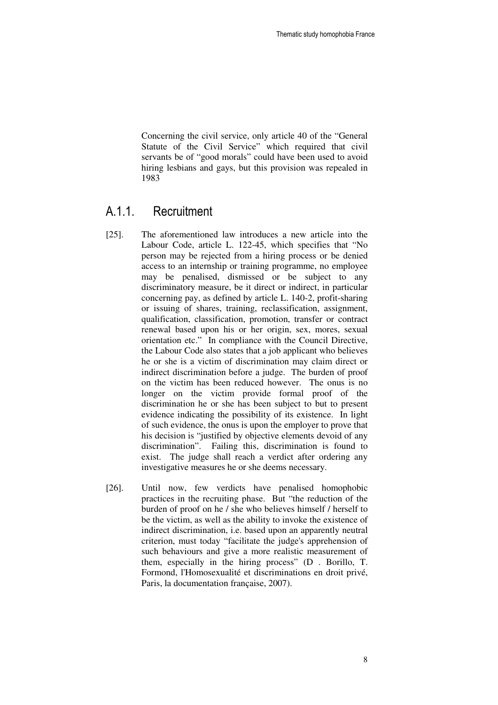Concerning the civil service, only article 40 of the "General Statute of the Civil Service" which required that civil servants be of "good morals" could have been used to avoid hiring lesbians and gays, but this provision was repealed in 1983

### A.1.1. Recruitment

- [25]. The aforementioned law introduces a new article into the Labour Code, article L. 122-45, which specifies that "No person may be rejected from a hiring process or be denied access to an internship or training programme, no employee may be penalised, dismissed or be subject to any discriminatory measure, be it direct or indirect, in particular concerning pay, as defined by article L. 140-2, profit-sharing or issuing of shares, training, reclassification, assignment, qualification, classification, promotion, transfer or contract renewal based upon his or her origin, sex, mores, sexual orientation etc." In compliance with the Council Directive, the Labour Code also states that a job applicant who believes he or she is a victim of discrimination may claim direct or indirect discrimination before a judge. The burden of proof on the victim has been reduced however. The onus is no longer on the victim provide formal proof of the discrimination he or she has been subject to but to present evidence indicating the possibility of its existence. In light of such evidence, the onus is upon the employer to prove that his decision is "justified by objective elements devoid of any discrimination". Failing this, discrimination is found to exist. The judge shall reach a verdict after ordering any investigative measures he or she deems necessary.
- [26]. Until now, few verdicts have penalised homophobic practices in the recruiting phase. But "the reduction of the burden of proof on he / she who believes himself / herself to be the victim, as well as the ability to invoke the existence of indirect discrimination, i.e. based upon an apparently neutral criterion, must today "facilitate the judge's apprehension of such behaviours and give a more realistic measurement of them, especially in the hiring process" (D . Borillo, T. Formond, l'Homosexualité et discriminations en droit privé, Paris, la documentation française, 2007).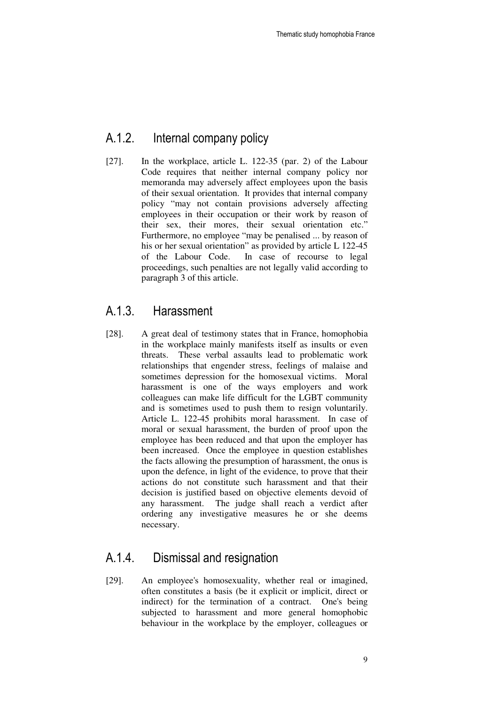### A.1.2. Internal company policy

[27]. In the workplace, article L. 122-35 (par. 2) of the Labour Code requires that neither internal company policy nor memoranda may adversely affect employees upon the basis of their sexual orientation. It provides that internal company policy "may not contain provisions adversely affecting employees in their occupation or their work by reason of their sex, their mores, their sexual orientation etc." Furthermore, no employee "may be penalised ... by reason of his or her sexual orientation" as provided by article L 122-45 of the Labour Code. In case of recourse to legal proceedings, such penalties are not legally valid according to paragraph 3 of this article.

### A.1.3. Harassment

[28]. A great deal of testimony states that in France, homophobia in the workplace mainly manifests itself as insults or even threats. These verbal assaults lead to problematic work relationships that engender stress, feelings of malaise and sometimes depression for the homosexual victims. Moral harassment is one of the ways employers and work colleagues can make life difficult for the LGBT community and is sometimes used to push them to resign voluntarily. Article L. 122-45 prohibits moral harassment. In case of moral or sexual harassment, the burden of proof upon the employee has been reduced and that upon the employer has been increased. Once the employee in question establishes the facts allowing the presumption of harassment, the onus is upon the defence, in light of the evidence, to prove that their actions do not constitute such harassment and that their decision is justified based on objective elements devoid of any harassment. The judge shall reach a verdict after ordering any investigative measures he or she deems necessary.

### A.1.4. Dismissal and resignation

[29]. An employee's homosexuality, whether real or imagined, often constitutes a basis (be it explicit or implicit, direct or indirect) for the termination of a contract. One's being subjected to harassment and more general homophobic behaviour in the workplace by the employer, colleagues or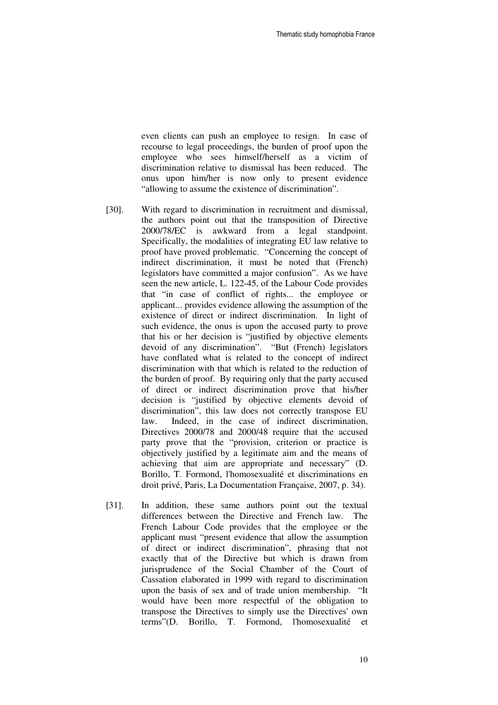even clients can push an employee to resign. In case of recourse to legal proceedings, the burden of proof upon the employee who sees himself/herself as a victim of discrimination relative to dismissal has been reduced. The onus upon him/her is now only to present evidence "allowing to assume the existence of discrimination".

- [30]. With regard to discrimination in recruitment and dismissal, the authors point out that the transposition of Directive 2000/78/EC is awkward from a legal standpoint. Specifically, the modalities of integrating EU law relative to proof have proved problematic. "Concerning the concept of indirect discrimination, it must be noted that (French) legislators have committed a major confusion". As we have seen the new article, L. 122-45, of the Labour Code provides that "in case of conflict of rights... the employee or applicant... provides evidence allowing the assumption of the existence of direct or indirect discrimination. In light of such evidence, the onus is upon the accused party to prove that his or her decision is "justified by objective elements devoid of any discrimination". "But (French) legislators have conflated what is related to the concept of indirect discrimination with that which is related to the reduction of the burden of proof. By requiring only that the party accused of direct or indirect discrimination prove that his/her decision is "justified by objective elements devoid of discrimination", this law does not correctly transpose EU law. Indeed, in the case of indirect discrimination, Directives 2000/78 and 2000/48 require that the accused party prove that the "provision, criterion or practice is objectively justified by a legitimate aim and the means of achieving that aim are appropriate and necessary" (D. Borillo, T. Formond, l'homosexualité et discriminations en droit privé, Paris, La Documentation Française, 2007, p. 34).
- [31]. In addition, these same authors point out the textual differences between the Directive and French law. The French Labour Code provides that the employee or the applicant must "present evidence that allow the assumption of direct or indirect discrimination", phrasing that not exactly that of the Directive but which is drawn from jurisprudence of the Social Chamber of the Court of Cassation elaborated in 1999 with regard to discrimination upon the basis of sex and of trade union membership. "It would have been more respectful of the obligation to transpose the Directives to simply use the Directives' own terms"(D. Borillo, T. Formond, l'homosexualité et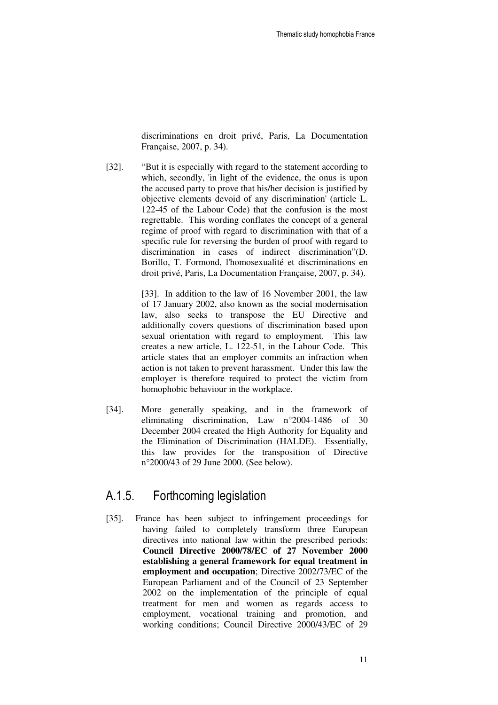discriminations en droit privé, Paris, La Documentation Française, 2007, p. 34).

[32]. "But it is especially with regard to the statement according to which, secondly, 'in light of the evidence, the onus is upon the accused party to prove that his/her decision is justified by objective elements devoid of any discrimination' (article L. 122-45 of the Labour Code) that the confusion is the most regrettable. This wording conflates the concept of a general regime of proof with regard to discrimination with that of a specific rule for reversing the burden of proof with regard to discrimination in cases of indirect discrimination"(D. Borillo, T. Formond, l'homosexualité et discriminations en droit privé, Paris, La Documentation Française, 2007, p. 34).

> [33]. In addition to the law of 16 November 2001, the law of 17 January 2002, also known as the social modernisation law, also seeks to transpose the EU Directive and additionally covers questions of discrimination based upon sexual orientation with regard to employment. This law creates a new article, L. 122-51, in the Labour Code. This article states that an employer commits an infraction when action is not taken to prevent harassment. Under this law the employer is therefore required to protect the victim from homophobic behaviour in the workplace.

[34]. More generally speaking, and in the framework of eliminating discrimination, Law n°2004-1486 of 30 December 2004 created the High Authority for Equality and the Elimination of Discrimination (HALDE). Essentially, this law provides for the transposition of Directive n°2000/43 of 29 June 2000. (See below).

### A.1.5. Forthcoming legislation

[35]. France has been subject to infringement proceedings for having failed to completely transform three European directives into national law within the prescribed periods: **Council Directive 2000/78/EC of 27 November 2000 establishing a general framework for equal treatment in employment and occupation**; Directive 2002/73/EC of the European Parliament and of the Council of 23 September 2002 on the implementation of the principle of equal treatment for men and women as regards access to employment, vocational training and promotion, and working conditions; Council Directive 2000/43/EC of 29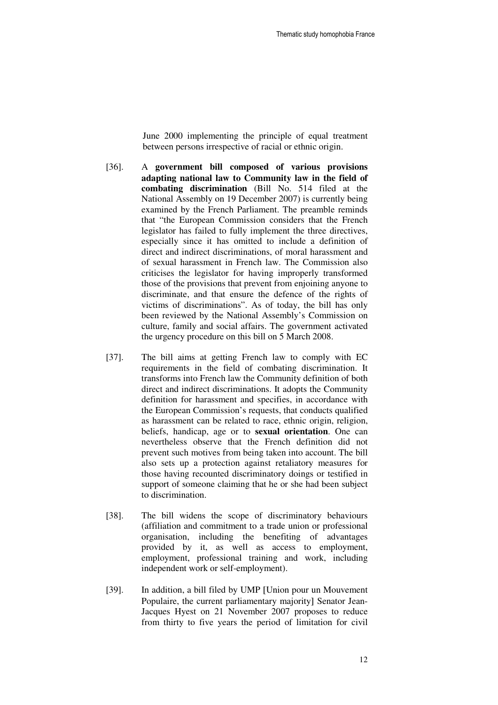June 2000 implementing the principle of equal treatment between persons irrespective of racial or ethnic origin.

- [36]. A **government bill composed of various provisions adapting national law to Community law in the field of combating discrimination** (Bill No. 514 filed at the National Assembly on 19 December 2007) is currently being examined by the French Parliament. The preamble reminds that "the European Commission considers that the French legislator has failed to fully implement the three directives, especially since it has omitted to include a definition of direct and indirect discriminations, of moral harassment and of sexual harassment in French law. The Commission also criticises the legislator for having improperly transformed those of the provisions that prevent from enjoining anyone to discriminate, and that ensure the defence of the rights of victims of discriminations". As of today, the bill has only been reviewed by the National Assembly's Commission on culture, family and social affairs. The government activated the urgency procedure on this bill on 5 March 2008.
- [37]. The bill aims at getting French law to comply with EC requirements in the field of combating discrimination. It transforms into French law the Community definition of both direct and indirect discriminations. It adopts the Community definition for harassment and specifies, in accordance with the European Commission's requests, that conducts qualified as harassment can be related to race, ethnic origin, religion, beliefs, handicap, age or to **sexual orientation**. One can nevertheless observe that the French definition did not prevent such motives from being taken into account. The bill also sets up a protection against retaliatory measures for those having recounted discriminatory doings or testified in support of someone claiming that he or she had been subject to discrimination.
- [38]. The bill widens the scope of discriminatory behaviours (affiliation and commitment to a trade union or professional organisation, including the benefiting of advantages provided by it, as well as access to employment, employment, professional training and work, including independent work or self-employment).
- [39]. In addition, a bill filed by UMP [Union pour un Mouvement Populaire, the current parliamentary majority] Senator Jean-Jacques Hyest on 21 November 2007 proposes to reduce from thirty to five years the period of limitation for civil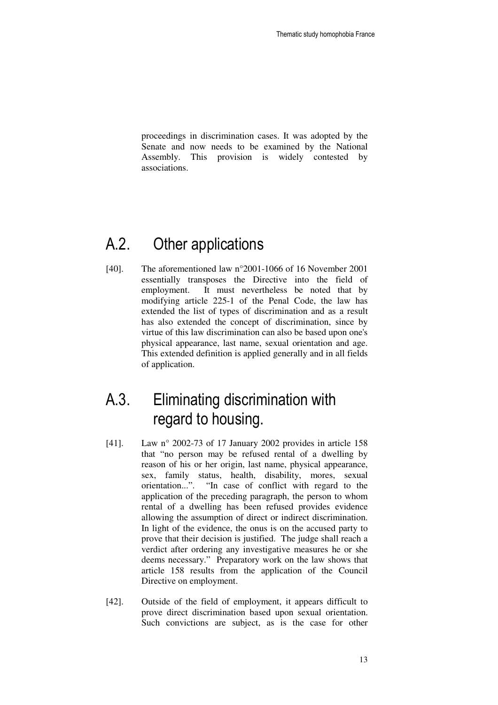proceedings in discrimination cases. It was adopted by the Senate and now needs to be examined by the National Assembly. This provision is widely contested by associations.

## A.2. Other applications

[40]. The aforementioned law n°2001-1066 of 16 November 2001 essentially transposes the Directive into the field of employment. It must nevertheless be noted that by modifying article 225-1 of the Penal Code, the law has extended the list of types of discrimination and as a result has also extended the concept of discrimination, since by virtue of this law discrimination can also be based upon one's physical appearance, last name, sexual orientation and age. This extended definition is applied generally and in all fields of application.

## A.3. Eliminating discrimination with regard to housing.

- [41]. Law n° 2002-73 of 17 January 2002 provides in article 158 that "no person may be refused rental of a dwelling by reason of his or her origin, last name, physical appearance, sex, family status, health, disability, mores, sexual orientation...". "In case of conflict with regard to the application of the preceding paragraph, the person to whom rental of a dwelling has been refused provides evidence allowing the assumption of direct or indirect discrimination. In light of the evidence, the onus is on the accused party to prove that their decision is justified. The judge shall reach a verdict after ordering any investigative measures he or she deems necessary." Preparatory work on the law shows that article 158 results from the application of the Council Directive on employment.
- [42]. Outside of the field of employment, it appears difficult to prove direct discrimination based upon sexual orientation. Such convictions are subject, as is the case for other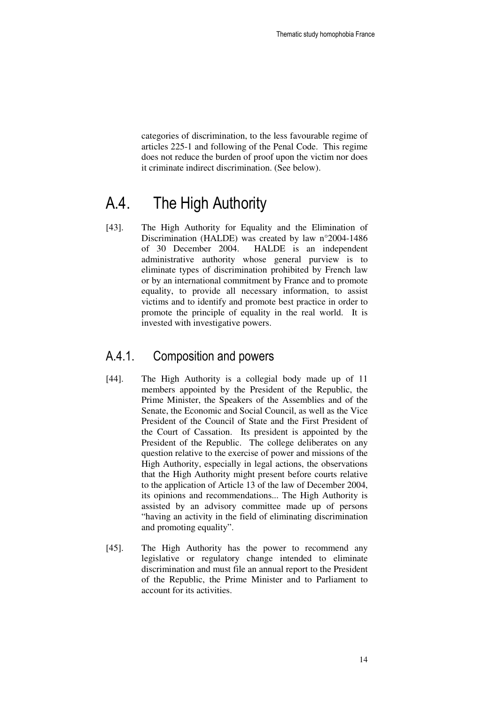categories of discrimination, to the less favourable regime of articles 225-1 and following of the Penal Code. This regime does not reduce the burden of proof upon the victim nor does it criminate indirect discrimination. (See below).

## A.4. The High Authority

[43]. The High Authority for Equality and the Elimination of Discrimination (HALDE) was created by law n°2004-1486 of 30 December 2004. HALDE is an independent administrative authority whose general purview is to eliminate types of discrimination prohibited by French law or by an international commitment by France and to promote equality, to provide all necessary information, to assist victims and to identify and promote best practice in order to promote the principle of equality in the real world. It is invested with investigative powers.

### A.4.1. Composition and powers

- [44]. The High Authority is a collegial body made up of 11 members appointed by the President of the Republic, the Prime Minister, the Speakers of the Assemblies and of the Senate, the Economic and Social Council, as well as the Vice President of the Council of State and the First President of the Court of Cassation. Its president is appointed by the President of the Republic. The college deliberates on any question relative to the exercise of power and missions of the High Authority, especially in legal actions, the observations that the High Authority might present before courts relative to the application of Article 13 of the law of December 2004, its opinions and recommendations... The High Authority is assisted by an advisory committee made up of persons "having an activity in the field of eliminating discrimination and promoting equality".
- [45]. The High Authority has the power to recommend any legislative or regulatory change intended to eliminate discrimination and must file an annual report to the President of the Republic, the Prime Minister and to Parliament to account for its activities.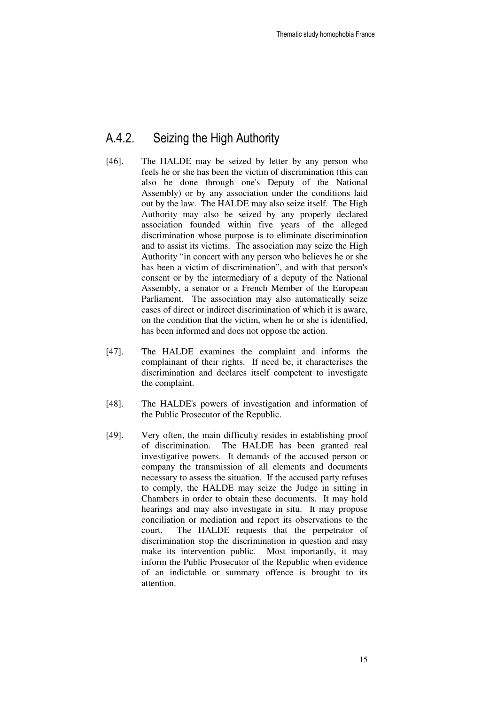### A.4.2. Seizing the High Authority

- [46]. The HALDE may be seized by letter by any person who feels he or she has been the victim of discrimination (this can also be done through one's Deputy of the National Assembly) or by any association under the conditions laid out by the law. The HALDE may also seize itself. The High Authority may also be seized by any properly declared association founded within five years of the alleged discrimination whose purpose is to eliminate discrimination and to assist its victims. The association may seize the High Authority "in concert with any person who believes he or she has been a victim of discrimination", and with that person's consent or by the intermediary of a deputy of the National Assembly, a senator or a French Member of the European Parliament. The association may also automatically seize cases of direct or indirect discrimination of which it is aware, on the condition that the victim, when he or she is identified, has been informed and does not oppose the action.
- [47]. The HALDE examines the complaint and informs the complainant of their rights. If need be, it characterises the discrimination and declares itself competent to investigate the complaint.
- [48]. The HALDE's powers of investigation and information of the Public Prosecutor of the Republic.
- [49]. Very often, the main difficulty resides in establishing proof of discrimination. The HALDE has been granted real investigative powers. It demands of the accused person or company the transmission of all elements and documents necessary to assess the situation. If the accused party refuses to comply, the HALDE may seize the Judge in sitting in Chambers in order to obtain these documents. It may hold hearings and may also investigate in situ. It may propose conciliation or mediation and report its observations to the court. The HALDE requests that the perpetrator of discrimination stop the discrimination in question and may make its intervention public. Most importantly, it may inform the Public Prosecutor of the Republic when evidence of an indictable or summary offence is brought to its attention.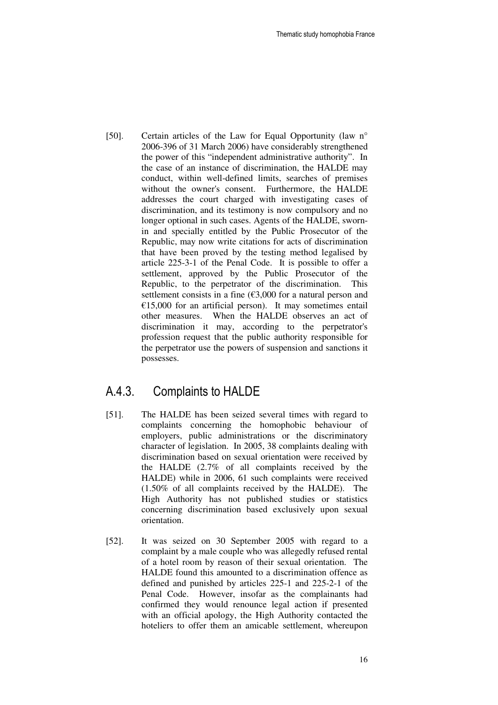[50]. Certain articles of the Law for Equal Opportunity (law n° 2006-396 of 31 March 2006) have considerably strengthened the power of this "independent administrative authority". In the case of an instance of discrimination, the HALDE may conduct, within well-defined limits, searches of premises without the owner's consent. Furthermore, the HALDE addresses the court charged with investigating cases of discrimination, and its testimony is now compulsory and no longer optional in such cases. Agents of the HALDE, swornin and specially entitled by the Public Prosecutor of the Republic, may now write citations for acts of discrimination that have been proved by the testing method legalised by article 225-3-1 of the Penal Code. It is possible to offer a settlement, approved by the Public Prosecutor of the Republic, to the perpetrator of the discrimination. This settlement consists in a fine  $(\text{\textsterling}3,000)$  for a natural person and €15,000 for an artificial person). It may sometimes entail other measures. When the HALDE observes an act of discrimination it may, according to the perpetrator's profession request that the public authority responsible for the perpetrator use the powers of suspension and sanctions it possesses.

### A.4.3. Complaints to HALDE

- [51]. The HALDE has been seized several times with regard to complaints concerning the homophobic behaviour of employers, public administrations or the discriminatory character of legislation. In 2005, 38 complaints dealing with discrimination based on sexual orientation were received by the HALDE (2.7% of all complaints received by the HALDE) while in 2006, 61 such complaints were received (1.50% of all complaints received by the HALDE). The High Authority has not published studies or statistics concerning discrimination based exclusively upon sexual orientation.
- [52]. It was seized on 30 September 2005 with regard to a complaint by a male couple who was allegedly refused rental of a hotel room by reason of their sexual orientation. The HALDE found this amounted to a discrimination offence as defined and punished by articles 225-1 and 225-2-1 of the Penal Code. However, insofar as the complainants had confirmed they would renounce legal action if presented with an official apology, the High Authority contacted the hoteliers to offer them an amicable settlement, whereupon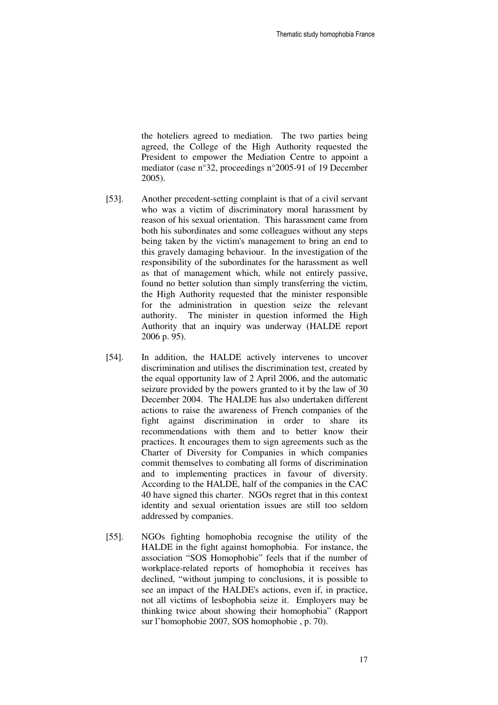the hoteliers agreed to mediation. The two parties being agreed, the College of the High Authority requested the President to empower the Mediation Centre to appoint a mediator (case n°32, proceedings n°2005-91 of 19 December 2005).

- [53]. Another precedent-setting complaint is that of a civil servant who was a victim of discriminatory moral harassment by reason of his sexual orientation. This harassment came from both his subordinates and some colleagues without any steps being taken by the victim's management to bring an end to this gravely damaging behaviour. In the investigation of the responsibility of the subordinates for the harassment as well as that of management which, while not entirely passive, found no better solution than simply transferring the victim, the High Authority requested that the minister responsible for the administration in question seize the relevant authority. The minister in question informed the High Authority that an inquiry was underway (HALDE report 2006 p. 95).
- [54]. In addition, the HALDE actively intervenes to uncover discrimination and utilises the discrimination test, created by the equal opportunity law of 2 April 2006, and the automatic seizure provided by the powers granted to it by the law of 30 December 2004. The HALDE has also undertaken different actions to raise the awareness of French companies of the fight against discrimination in order to share its recommendations with them and to better know their practices. It encourages them to sign agreements such as the Charter of Diversity for Companies in which companies commit themselves to combating all forms of discrimination and to implementing practices in favour of diversity. According to the HALDE, half of the companies in the CAC 40 have signed this charter. NGOs regret that in this context identity and sexual orientation issues are still too seldom addressed by companies.
- [55]. NGOs fighting homophobia recognise the utility of the HALDE in the fight against homophobia. For instance, the association "SOS Homophobie" feels that if the number of workplace-related reports of homophobia it receives has declined, "without jumping to conclusions, it is possible to see an impact of the HALDE's actions, even if, in practice, not all victims of lesbophobia seize it. Employers may be thinking twice about showing their homophobia" (Rapport sur l'homophobie 2007, SOS homophobie , p. 70).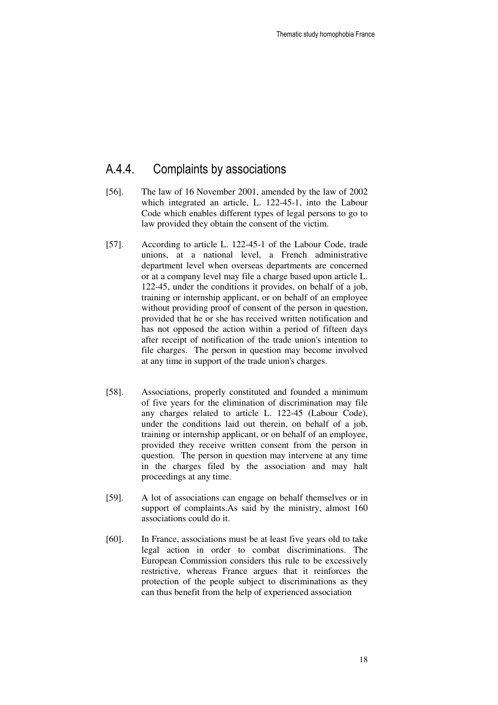### A.4.4. Complaints by associations

- [56]. The law of 16 November 2001, amended by the law of 2002 which integrated an article, L. 122-45-1, into the Labour Code which enables different types of legal persons to go to law provided they obtain the consent of the victim.
- [57]. According to article L. 122-45-1 of the Labour Code, trade unions, at a national level, a French administrative department level when overseas departments are concerned or at a company level may file a charge based upon article L. 122-45, under the conditions it provides, on behalf of a job, training or internship applicant, or on behalf of an employee without providing proof of consent of the person in question. provided that he or she has received written notification and has not opposed the action within a period of fifteen days after receipt of notification of the trade union's intention to file charges. The person in question may become involved at any time in support of the trade union's charges.
- [58]. Associations, properly constituted and founded a minimum of five years for the elimination of discrimination may file any charges related to article L. 122-45 (Labour Code), under the conditions laid out therein, on behalf of a job, training or internship applicant, or on behalf of an employee, provided they receive written consent from the person in question. The person in question may intervene at any time in the charges filed by the association and may halt proceedings at any time.
- [59]. A lot of associations can engage on behalf themselves or in support of complaints. As said by the ministry, almost 160 associations could do it.
- [60]. In France, associations must be at least five years old to take legal action in order to combat discriminations. The European Commission considers this rule to be excessively restrictive, whereas France argues that it reinforces the protection of the people subject to discriminations as they can thus benefit from the help of experienced association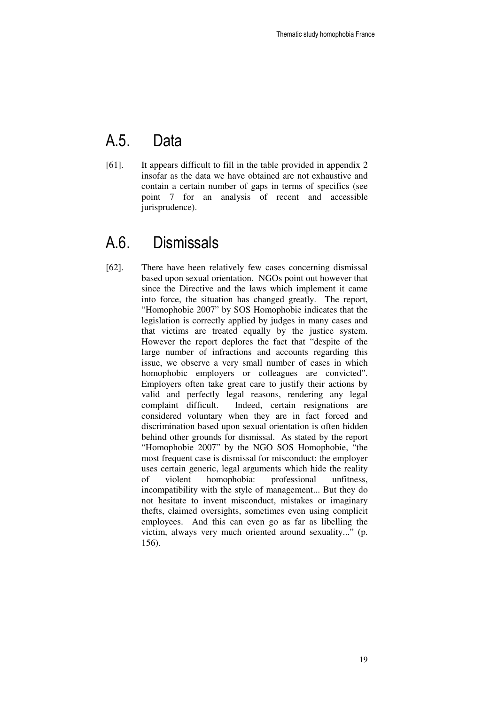## A.5. Data

[61]. It appears difficult to fill in the table provided in appendix 2 insofar as the data we have obtained are not exhaustive and contain a certain number of gaps in terms of specifics (see point 7 for an analysis of recent and accessible jurisprudence).

### A.6. Dismissals

[62]. There have been relatively few cases concerning dismissal based upon sexual orientation. NGOs point out however that since the Directive and the laws which implement it came into force, the situation has changed greatly. The report, "Homophobie 2007" by SOS Homophobie indicates that the legislation is correctly applied by judges in many cases and that victims are treated equally by the justice system. However the report deplores the fact that "despite of the large number of infractions and accounts regarding this issue, we observe a very small number of cases in which homophobic employers or colleagues are convicted". Employers often take great care to justify their actions by valid and perfectly legal reasons, rendering any legal complaint difficult. Indeed, certain resignations are considered voluntary when they are in fact forced and discrimination based upon sexual orientation is often hidden behind other grounds for dismissal. As stated by the report "Homophobie 2007" by the NGO SOS Homophobie, "the most frequent case is dismissal for misconduct: the employer uses certain generic, legal arguments which hide the reality of violent homophobia: professional unfitness, incompatibility with the style of management... But they do not hesitate to invent misconduct, mistakes or imaginary thefts, claimed oversights, sometimes even using complicit employees. And this can even go as far as libelling the victim, always very much oriented around sexuality..." (p. 156).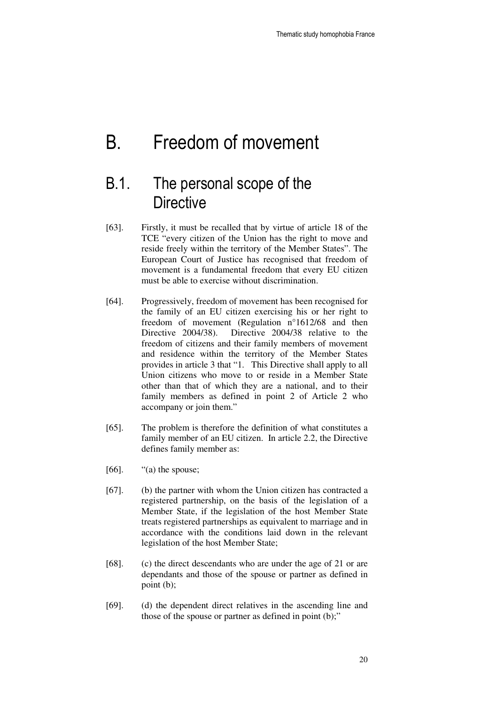# B. Freedom of movement

## B.1. The personal scope of the **Directive**

- [63]. Firstly, it must be recalled that by virtue of article 18 of the TCE "every citizen of the Union has the right to move and reside freely within the territory of the Member States". The European Court of Justice has recognised that freedom of movement is a fundamental freedom that every EU citizen must be able to exercise without discrimination.
- [64]. Progressively, freedom of movement has been recognised for the family of an EU citizen exercising his or her right to freedom of movement (Regulation n°1612/68 and then Directive 2004/38). Directive 2004/38 relative to the freedom of citizens and their family members of movement and residence within the territory of the Member States provides in article 3 that "1. This Directive shall apply to all Union citizens who move to or reside in a Member State other than that of which they are a national, and to their family members as defined in point 2 of Article 2 who accompany or join them."
- [65]. The problem is therefore the definition of what constitutes a family member of an EU citizen. In article 2.2, the Directive defines family member as:
- $[66]$ . "(a) the spouse;
- [67]. (b) the partner with whom the Union citizen has contracted a registered partnership, on the basis of the legislation of a Member State, if the legislation of the host Member State treats registered partnerships as equivalent to marriage and in accordance with the conditions laid down in the relevant legislation of the host Member State;
- [68]. (c) the direct descendants who are under the age of 21 or are dependants and those of the spouse or partner as defined in point (b);
- [69]. (d) the dependent direct relatives in the ascending line and those of the spouse or partner as defined in point (b);"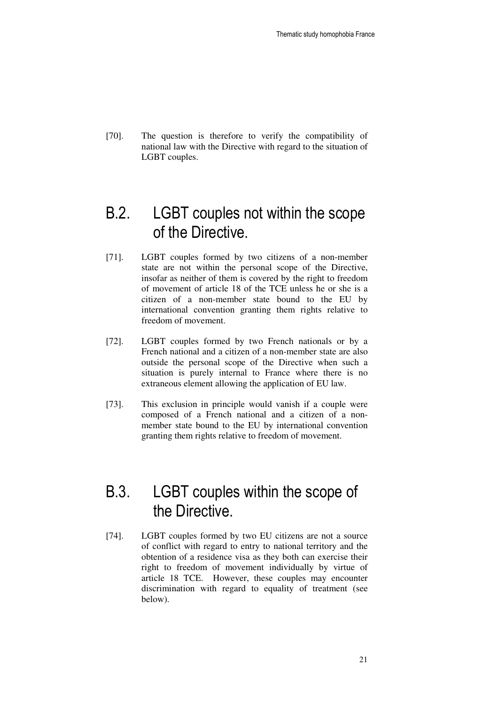[70]. The question is therefore to verify the compatibility of national law with the Directive with regard to the situation of LGBT couples.

## B.2. LGBT couples not within the scope of the Directive.

- [71]. LGBT couples formed by two citizens of a non-member state are not within the personal scope of the Directive, insofar as neither of them is covered by the right to freedom of movement of article 18 of the TCE unless he or she is a citizen of a non-member state bound to the EU by international convention granting them rights relative to freedom of movement.
- [72]. LGBT couples formed by two French nationals or by a French national and a citizen of a non-member state are also outside the personal scope of the Directive when such a situation is purely internal to France where there is no extraneous element allowing the application of EU law.
- [73]. This exclusion in principle would vanish if a couple were composed of a French national and a citizen of a nonmember state bound to the EU by international convention granting them rights relative to freedom of movement.

## B.3. LGBT couples within the scope of the Directive.

[74]. LGBT couples formed by two EU citizens are not a source of conflict with regard to entry to national territory and the obtention of a residence visa as they both can exercise their right to freedom of movement individually by virtue of article 18 TCE. However, these couples may encounter discrimination with regard to equality of treatment (see below).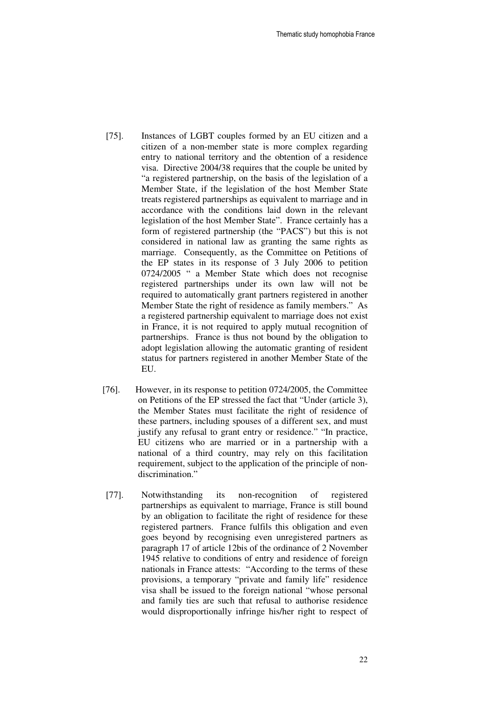- [75]. Instances of LGBT couples formed by an EU citizen and a citizen of a non-member state is more complex regarding entry to national territory and the obtention of a residence visa. Directive 2004/38 requires that the couple be united by "a registered partnership, on the basis of the legislation of a Member State, if the legislation of the host Member State treats registered partnerships as equivalent to marriage and in accordance with the conditions laid down in the relevant legislation of the host Member State". France certainly has a form of registered partnership (the "PACS") but this is not considered in national law as granting the same rights as marriage. Consequently, as the Committee on Petitions of the EP states in its response of 3 July 2006 to petition 0724/2005 " a Member State which does not recognise registered partnerships under its own law will not be required to automatically grant partners registered in another Member State the right of residence as family members." As a registered partnership equivalent to marriage does not exist in France, it is not required to apply mutual recognition of partnerships. France is thus not bound by the obligation to adopt legislation allowing the automatic granting of resident status for partners registered in another Member State of the EU.
- [76]. However, in its response to petition 0724/2005, the Committee on Petitions of the EP stressed the fact that "Under (article 3), the Member States must facilitate the right of residence of these partners, including spouses of a different sex, and must justify any refusal to grant entry or residence." "In practice, EU citizens who are married or in a partnership with a national of a third country, may rely on this facilitation requirement, subject to the application of the principle of nondiscrimination."
	- [77]. Notwithstanding its non-recognition of registered partnerships as equivalent to marriage, France is still bound by an obligation to facilitate the right of residence for these registered partners. France fulfils this obligation and even goes beyond by recognising even unregistered partners as paragraph 17 of article 12bis of the ordinance of 2 November 1945 relative to conditions of entry and residence of foreign nationals in France attests: "According to the terms of these provisions, a temporary "private and family life" residence visa shall be issued to the foreign national "whose personal and family ties are such that refusal to authorise residence would disproportionally infringe his/her right to respect of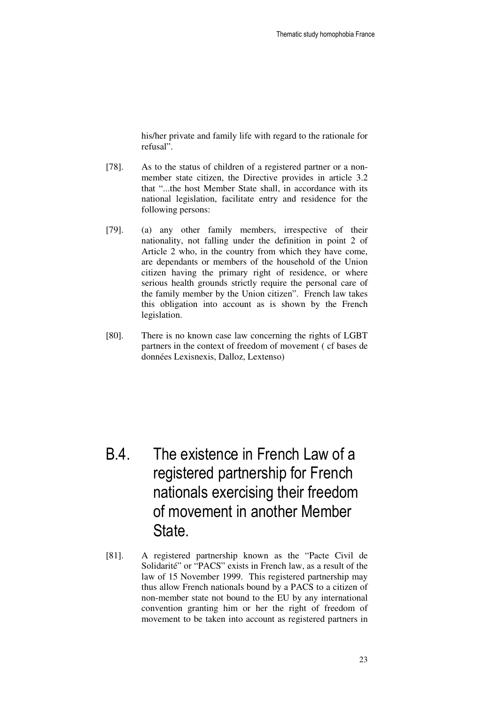his/her private and family life with regard to the rationale for refusal".

- [78]. As to the status of children of a registered partner or a nonmember state citizen, the Directive provides in article 3.2 that "...the host Member State shall, in accordance with its national legislation, facilitate entry and residence for the following persons:
- [79]. (a) any other family members, irrespective of their nationality, not falling under the definition in point 2 of Article 2 who, in the country from which they have come, are dependants or members of the household of the Union citizen having the primary right of residence, or where serious health grounds strictly require the personal care of the family member by the Union citizen". French law takes this obligation into account as is shown by the French legislation.
- [80]. There is no known case law concerning the rights of LGBT partners in the context of freedom of movement ( cf bases de données Lexisnexis, Dalloz, Lextenso)

- B.4. The existence in French Law of a registered partnership for French nationals exercising their freedom of movement in another Member State.
- [81]. A registered partnership known as the "Pacte Civil de Solidarité" or "PACS" exists in French law, as a result of the law of 15 November 1999. This registered partnership may thus allow French nationals bound by a PACS to a citizen of non-member state not bound to the EU by any international convention granting him or her the right of freedom of movement to be taken into account as registered partners in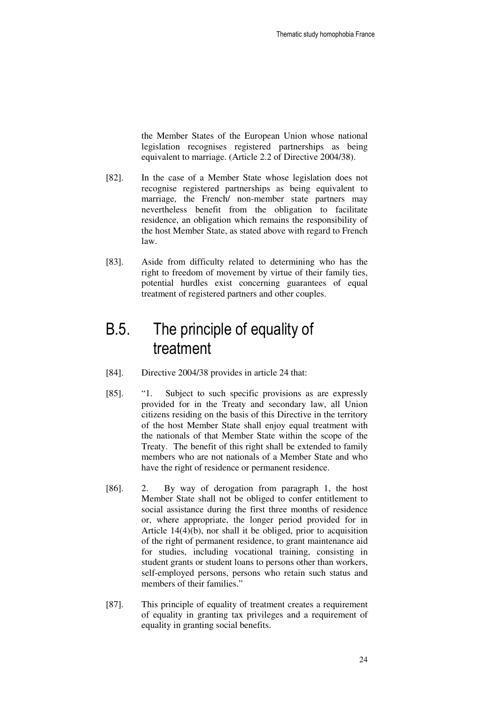the Member States of the European Union whose national legislation recognises registered partnerships as being equivalent to marriage. (Article 2.2 of Directive 2004/38).

- [82]. In the case of a Member State whose legislation does not recognise registered partnerships as being equivalent to marriage, the French/ non-member state partners may nevertheless benefit from the obligation to facilitate residence, an obligation which remains the responsibility of the host Member State, as stated above with regard to French law.
- [83]. Aside from difficulty related to determining who has the right to freedom of movement by virtue of their family ties, potential hurdles exist concerning guarantees of equal treatment of registered partners and other couples.

## B.5. The principle of equality of treatment

- [84]. Directive 2004/38 provides in article 24 that:
- [85]. "1. Subject to such specific provisions as are expressly provided for in the Treaty and secondary law, all Union citizens residing on the basis of this Directive in the territory of the host Member State shall enjoy equal treatment with the nationals of that Member State within the scope of the Treaty. The benefit of this right shall be extended to family members who are not nationals of a Member State and who have the right of residence or permanent residence.
- [86]. 2. By way of derogation from paragraph 1, the host Member State shall not be obliged to confer entitlement to social assistance during the first three months of residence or, where appropriate, the longer period provided for in Article 14(4)(b), nor shall it be obliged, prior to acquisition of the right of permanent residence, to grant maintenance aid for studies, including vocational training, consisting in student grants or student loans to persons other than workers, self-employed persons, persons who retain such status and members of their families."
- [87]. This principle of equality of treatment creates a requirement of equality in granting tax privileges and a requirement of equality in granting social benefits.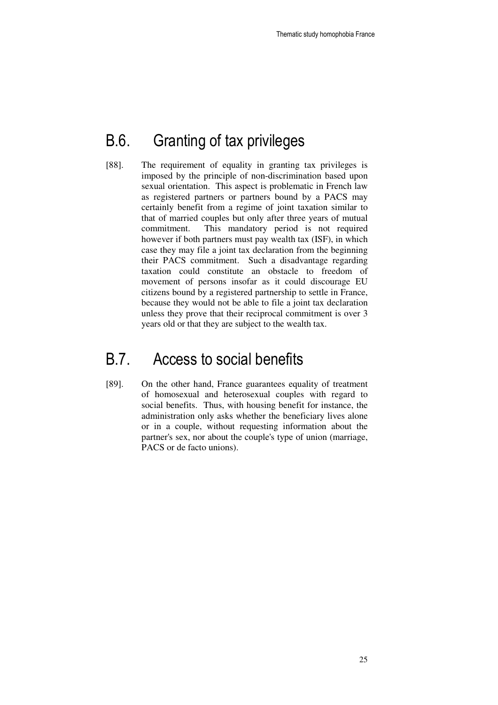## B.6. Granting of tax privileges

[88]. The requirement of equality in granting tax privileges is imposed by the principle of non-discrimination based upon sexual orientation. This aspect is problematic in French law as registered partners or partners bound by a PACS may certainly benefit from a regime of joint taxation similar to that of married couples but only after three years of mutual commitment. This mandatory period is not required however if both partners must pay wealth tax (ISF), in which case they may file a joint tax declaration from the beginning their PACS commitment. Such a disadvantage regarding taxation could constitute an obstacle to freedom of movement of persons insofar as it could discourage EU citizens bound by a registered partnership to settle in France, because they would not be able to file a joint tax declaration unless they prove that their reciprocal commitment is over 3 years old or that they are subject to the wealth tax.

## B.7. Access to social benefits

[89]. On the other hand, France guarantees equality of treatment of homosexual and heterosexual couples with regard to social benefits. Thus, with housing benefit for instance, the administration only asks whether the beneficiary lives alone or in a couple, without requesting information about the partner's sex, nor about the couple's type of union (marriage, PACS or de facto unions).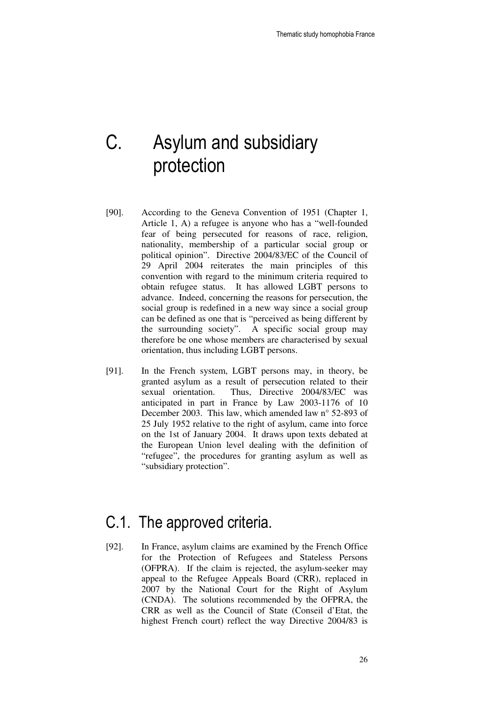# C. Asylum and subsidiary protection

- [90]. According to the Geneva Convention of 1951 (Chapter 1, Article 1, A) a refugee is anyone who has a "well-founded fear of being persecuted for reasons of race, religion, nationality, membership of a particular social group or political opinion". Directive 2004/83/EC of the Council of 29 April 2004 reiterates the main principles of this convention with regard to the minimum criteria required to obtain refugee status. It has allowed LGBT persons to advance. Indeed, concerning the reasons for persecution, the social group is redefined in a new way since a social group can be defined as one that is "perceived as being different by the surrounding society". A specific social group may therefore be one whose members are characterised by sexual orientation, thus including LGBT persons.
- [91]. In the French system, LGBT persons may, in theory, be granted asylum as a result of persecution related to their sexual orientation. Thus, Directive 2004/83/EC was anticipated in part in France by Law 2003-1176 of 10 December 2003. This law, which amended law n° 52-893 of 25 July 1952 relative to the right of asylum, came into force on the 1st of January 2004. It draws upon texts debated at the European Union level dealing with the definition of "refugee", the procedures for granting asylum as well as "subsidiary protection".

## C.1. The approved criteria.

[92]. In France, asylum claims are examined by the French Office for the Protection of Refugees and Stateless Persons (OFPRA). If the claim is rejected, the asylum-seeker may appeal to the Refugee Appeals Board (CRR), replaced in 2007 by the National Court for the Right of Asylum (CNDA). The solutions recommended by the OFPRA, the CRR as well as the Council of State (Conseil d'Etat, the highest French court) reflect the way Directive 2004/83 is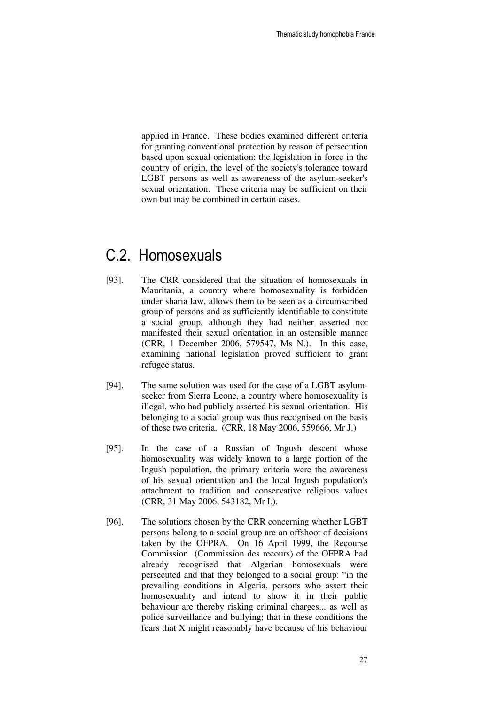applied in France. These bodies examined different criteria for granting conventional protection by reason of persecution based upon sexual orientation: the legislation in force in the country of origin, the level of the society's tolerance toward LGBT persons as well as awareness of the asylum-seeker's sexual orientation. These criteria may be sufficient on their own but may be combined in certain cases.

## C.2. Homosexuals

- [93]. The CRR considered that the situation of homosexuals in Mauritania, a country where homosexuality is forbidden under sharia law, allows them to be seen as a circumscribed group of persons and as sufficiently identifiable to constitute a social group, although they had neither asserted nor manifested their sexual orientation in an ostensible manner (CRR, 1 December 2006, 579547, Ms N.). In this case, examining national legislation proved sufficient to grant refugee status.
- [94]. The same solution was used for the case of a LGBT asylumseeker from Sierra Leone, a country where homosexuality is illegal, who had publicly asserted his sexual orientation. His belonging to a social group was thus recognised on the basis of these two criteria. (CRR, 18 May 2006, 559666, Mr J.)
- [95]. In the case of a Russian of Ingush descent whose homosexuality was widely known to a large portion of the Ingush population, the primary criteria were the awareness of his sexual orientation and the local Ingush population's attachment to tradition and conservative religious values (CRR, 31 May 2006, 543182, Mr I.).
- [96]. The solutions chosen by the CRR concerning whether LGBT persons belong to a social group are an offshoot of decisions taken by the OFPRA. On 16 April 1999, the Recourse Commission (Commission des recours) of the OFPRA had already recognised that Algerian homosexuals were persecuted and that they belonged to a social group: "in the prevailing conditions in Algeria, persons who assert their homosexuality and intend to show it in their public behaviour are thereby risking criminal charges... as well as police surveillance and bullying; that in these conditions the fears that X might reasonably have because of his behaviour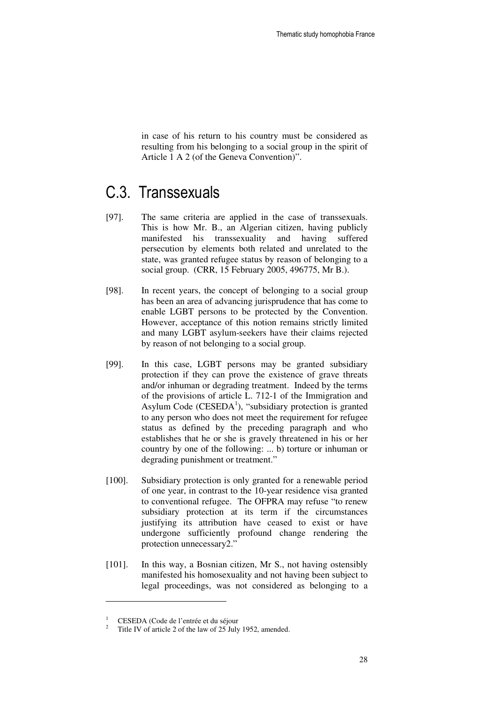in case of his return to his country must be considered as resulting from his belonging to a social group in the spirit of Article 1 A 2 (of the Geneva Convention)".

## C.3. Transsexuals

- [97]. The same criteria are applied in the case of transsexuals. This is how Mr. B., an Algerian citizen, having publicly manifested his transsexuality and having suffered persecution by elements both related and unrelated to the state, was granted refugee status by reason of belonging to a social group. (CRR, 15 February 2005, 496775, Mr B.).
- [98]. In recent years, the concept of belonging to a social group has been an area of advancing jurisprudence that has come to enable LGBT persons to be protected by the Convention. However, acceptance of this notion remains strictly limited and many LGBT asylum-seekers have their claims rejected by reason of not belonging to a social group.
- [99]. In this case, LGBT persons may be granted subsidiary protection if they can prove the existence of grave threats and/or inhuman or degrading treatment. Indeed by the terms of the provisions of article L. 712-1 of the Immigration and Asylum Code  $(CESEDA<sup>1</sup>)$ , "subsidiary protection is granted to any person who does not meet the requirement for refugee status as defined by the preceding paragraph and who establishes that he or she is gravely threatened in his or her country by one of the following: ... b) torture or inhuman or degrading punishment or treatment."
- [100]. Subsidiary protection is only granted for a renewable period of one year, in contrast to the 10-year residence visa granted to conventional refugee. The OFPRA may refuse "to renew subsidiary protection at its term if the circumstances justifying its attribution have ceased to exist or have undergone sufficiently profound change rendering the protection unnecessary2."
- [101]. In this way, a Bosnian citizen, Mr S., not having ostensibly manifested his homosexuality and not having been subject to legal proceedings, was not considered as belonging to a

 $\overline{a}$ 

<sup>1</sup> CESEDA (Code de l'entrée et du séjour

<sup>2</sup> Title IV of article 2 of the law of 25 July 1952, amended.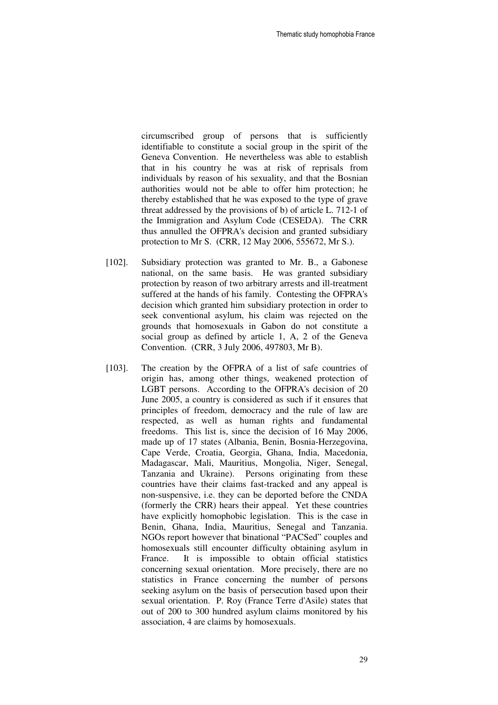circumscribed group of persons that is sufficiently identifiable to constitute a social group in the spirit of the Geneva Convention. He nevertheless was able to establish that in his country he was at risk of reprisals from individuals by reason of his sexuality, and that the Bosnian authorities would not be able to offer him protection; he thereby established that he was exposed to the type of grave threat addressed by the provisions of b) of article L. 712-1 of the Immigration and Asylum Code (CESEDA). The CRR thus annulled the OFPRA's decision and granted subsidiary protection to Mr S. (CRR, 12 May 2006, 555672, Mr S.).

- [102]. Subsidiary protection was granted to Mr. B., a Gabonese national, on the same basis. He was granted subsidiary protection by reason of two arbitrary arrests and ill-treatment suffered at the hands of his family. Contesting the OFPRA's decision which granted him subsidiary protection in order to seek conventional asylum, his claim was rejected on the grounds that homosexuals in Gabon do not constitute a social group as defined by article 1, A, 2 of the Geneva Convention. (CRR, 3 July 2006, 497803, Mr B).
- [103]. The creation by the OFPRA of a list of safe countries of origin has, among other things, weakened protection of LGBT persons. According to the OFPRA's decision of 20 June 2005, a country is considered as such if it ensures that principles of freedom, democracy and the rule of law are respected, as well as human rights and fundamental freedoms. This list is, since the decision of 16 May 2006, made up of 17 states (Albania, Benin, Bosnia-Herzegovina, Cape Verde, Croatia, Georgia, Ghana, India, Macedonia, Madagascar, Mali, Mauritius, Mongolia, Niger, Senegal, Tanzania and Ukraine). Persons originating from these countries have their claims fast-tracked and any appeal is non-suspensive, i.e. they can be deported before the CNDA (formerly the CRR) hears their appeal. Yet these countries have explicitly homophobic legislation. This is the case in Benin, Ghana, India, Mauritius, Senegal and Tanzania. NGOs report however that binational "PACSed" couples and homosexuals still encounter difficulty obtaining asylum in France. It is impossible to obtain official statistics concerning sexual orientation. More precisely, there are no statistics in France concerning the number of persons seeking asylum on the basis of persecution based upon their sexual orientation. P. Roy (France Terre d'Asile) states that out of 200 to 300 hundred asylum claims monitored by his association, 4 are claims by homosexuals.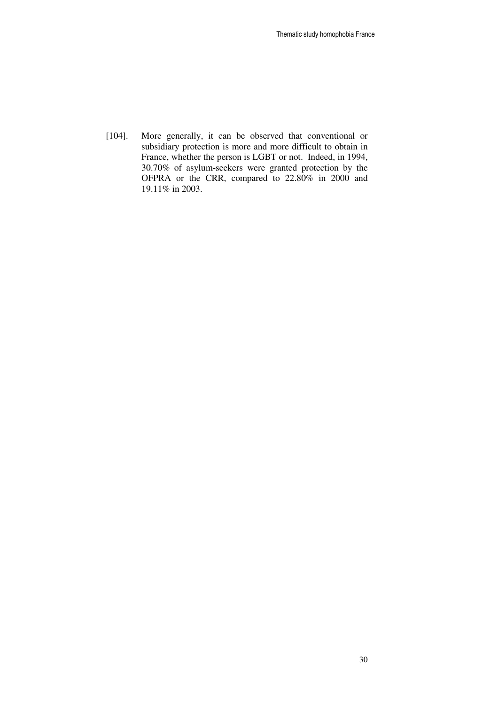[104]. More generally, it can be observed that conventional or subsidiary protection is more and more difficult to obtain in France, whether the person is LGBT or not. Indeed, in 1994, 30.70% of asylum-seekers were granted protection by the OFPRA or the CRR, compared to 22.80% in 2000 and 19.11% in 2003.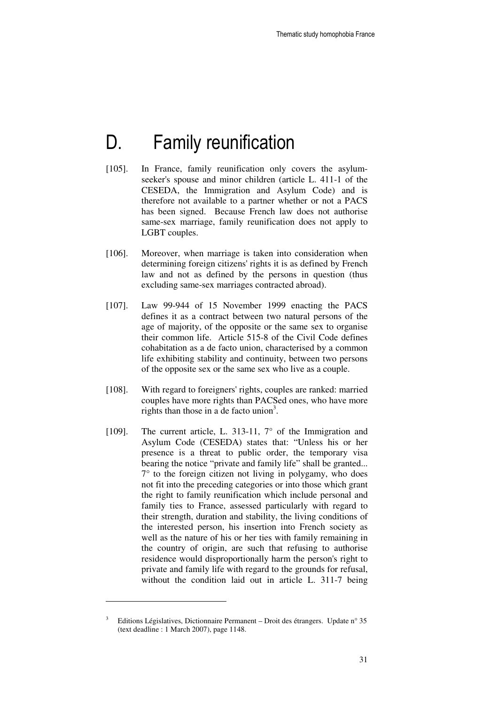# D. Family reunification

- [105]. In France, family reunification only covers the asylumseeker's spouse and minor children (article L. 411-1 of the CESEDA, the Immigration and Asylum Code) and is therefore not available to a partner whether or not a PACS has been signed. Because French law does not authorise same-sex marriage, family reunification does not apply to LGBT couples.
- [106]. Moreover, when marriage is taken into consideration when determining foreign citizens' rights it is as defined by French law and not as defined by the persons in question (thus excluding same-sex marriages contracted abroad).
- [107]. Law 99-944 of 15 November 1999 enacting the PACS defines it as a contract between two natural persons of the age of majority, of the opposite or the same sex to organise their common life. Article 515-8 of the Civil Code defines cohabitation as a de facto union, characterised by a common life exhibiting stability and continuity, between two persons of the opposite sex or the same sex who live as a couple.
- [108]. With regard to foreigners' rights, couples are ranked: married couples have more rights than PACSed ones, who have more rights than those in a de facto union<sup>3</sup>.
- [109]. The current article, L. 313-11, 7° of the Immigration and Asylum Code (CESEDA) states that: "Unless his or her presence is a threat to public order, the temporary visa bearing the notice "private and family life" shall be granted...  $7^\circ$  to the foreign citizen not living in polygamy, who does not fit into the preceding categories or into those which grant the right to family reunification which include personal and family ties to France, assessed particularly with regard to their strength, duration and stability, the living conditions of the interested person, his insertion into French society as well as the nature of his or her ties with family remaining in the country of origin, are such that refusing to authorise residence would disproportionally harm the person's right to private and family life with regard to the grounds for refusal, without the condition laid out in article L. 311-7 being

 $\overline{a}$ 

<sup>3</sup> Editions Législatives, Dictionnaire Permanent – Droit des étrangers. Update n° 35 (text deadline : 1 March 2007), page 1148.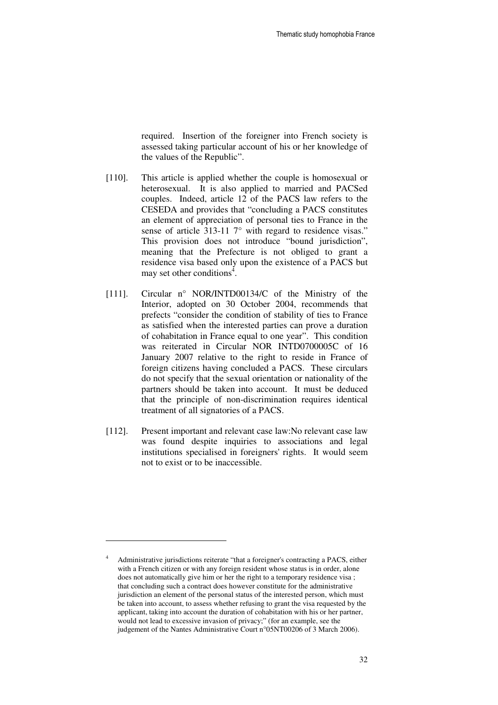required. Insertion of the foreigner into French society is assessed taking particular account of his or her knowledge of the values of the Republic".

- [110]. This article is applied whether the couple is homosexual or heterosexual. It is also applied to married and PACSed couples. Indeed, article 12 of the PACS law refers to the CESEDA and provides that "concluding a PACS constitutes an element of appreciation of personal ties to France in the sense of article 313-11 7° with regard to residence visas." This provision does not introduce "bound jurisdiction", meaning that the Prefecture is not obliged to grant a residence visa based only upon the existence of a PACS but may set other conditions<sup>4</sup>.
- [111]. Circular n° NOR/INTD00134/C of the Ministry of the Interior, adopted on 30 October 2004, recommends that prefects "consider the condition of stability of ties to France as satisfied when the interested parties can prove a duration of cohabitation in France equal to one year". This condition was reiterated in Circular NOR INTD0700005C of 16 January 2007 relative to the right to reside in France of foreign citizens having concluded a PACS. These circulars do not specify that the sexual orientation or nationality of the partners should be taken into account. It must be deduced that the principle of non-discrimination requires identical treatment of all signatories of a PACS.
- [112]. Present important and relevant case law:No relevant case law was found despite inquiries to associations and legal institutions specialised in foreigners' rights. It would seem not to exist or to be inaccessible.

 $\overline{a}$ 

<sup>4</sup> Administrative jurisdictions reiterate "that a foreigner's contracting a PACS, either with a French citizen or with any foreign resident whose status is in order, alone does not automatically give him or her the right to a temporary residence visa ; that concluding such a contract does however constitute for the administrative jurisdiction an element of the personal status of the interested person, which must be taken into account, to assess whether refusing to grant the visa requested by the applicant, taking into account the duration of cohabitation with his or her partner, would not lead to excessive invasion of privacy;" (for an example, see the judgement of the Nantes Administrative Court n°05NT00206 of 3 March 2006).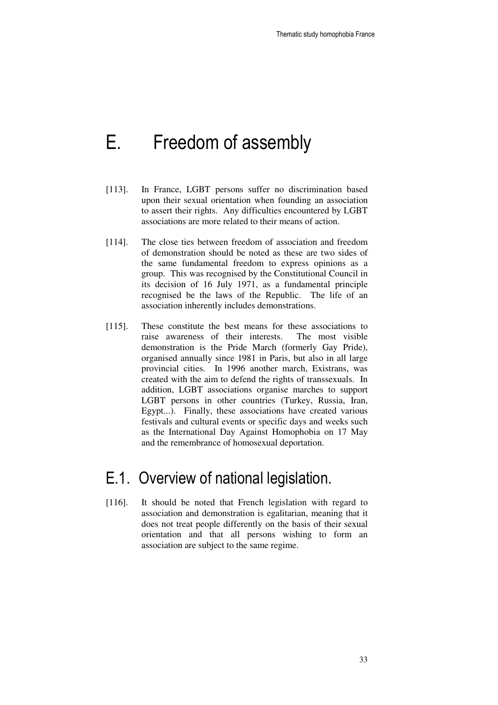# E. Freedom of assembly

- [113]. In France, LGBT persons suffer no discrimination based upon their sexual orientation when founding an association to assert their rights. Any difficulties encountered by LGBT associations are more related to their means of action.
- [114]. The close ties between freedom of association and freedom of demonstration should be noted as these are two sides of the same fundamental freedom to express opinions as a group. This was recognised by the Constitutional Council in its decision of 16 July 1971, as a fundamental principle recognised be the laws of the Republic. The life of an association inherently includes demonstrations.
- [115]. These constitute the best means for these associations to raise awareness of their interests. The most visible demonstration is the Pride March (formerly Gay Pride), organised annually since 1981 in Paris, but also in all large provincial cities. In 1996 another march, Existrans, was created with the aim to defend the rights of transsexuals. In addition, LGBT associations organise marches to support LGBT persons in other countries (Turkey, Russia, Iran, Egypt...). Finally, these associations have created various festivals and cultural events or specific days and weeks such as the International Day Against Homophobia on 17 May and the remembrance of homosexual deportation.

## E.1. Overview of national legislation.

[116]. It should be noted that French legislation with regard to association and demonstration is egalitarian, meaning that it does not treat people differently on the basis of their sexual orientation and that all persons wishing to form an association are subject to the same regime.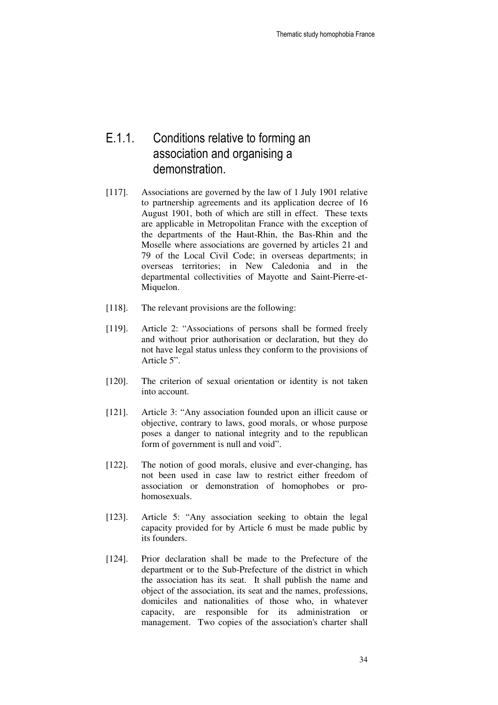### E.1.1. Conditions relative to forming an association and organising a demonstration.

- [117]. Associations are governed by the law of 1 July 1901 relative to partnership agreements and its application decree of 16 August 1901, both of which are still in effect. These texts are applicable in Metropolitan France with the exception of the departments of the Haut-Rhin, the Bas-Rhin and the Moselle where associations are governed by articles 21 and 79 of the Local Civil Code; in overseas departments; in overseas territories; in New Caledonia and in the departmental collectivities of Mayotte and Saint-Pierre-et-Miquelon.
- [118]. The relevant provisions are the following:
- [119]. Article 2: "Associations of persons shall be formed freely and without prior authorisation or declaration, but they do not have legal status unless they conform to the provisions of Article 5".
- [120]. The criterion of sexual orientation or identity is not taken into account.
- [121]. Article 3: "Any association founded upon an illicit cause or objective, contrary to laws, good morals, or whose purpose poses a danger to national integrity and to the republican form of government is null and void".
- [122]. The notion of good morals, elusive and ever-changing, has not been used in case law to restrict either freedom of association or demonstration of homophobes or prohomosexuals.
- [123]. Article 5: "Any association seeking to obtain the legal capacity provided for by Article 6 must be made public by its founders.
- [124]. Prior declaration shall be made to the Prefecture of the department or to the Sub-Prefecture of the district in which the association has its seat. It shall publish the name and object of the association, its seat and the names, professions, domiciles and nationalities of those who, in whatever capacity, are responsible for its administration or management. Two copies of the association's charter shall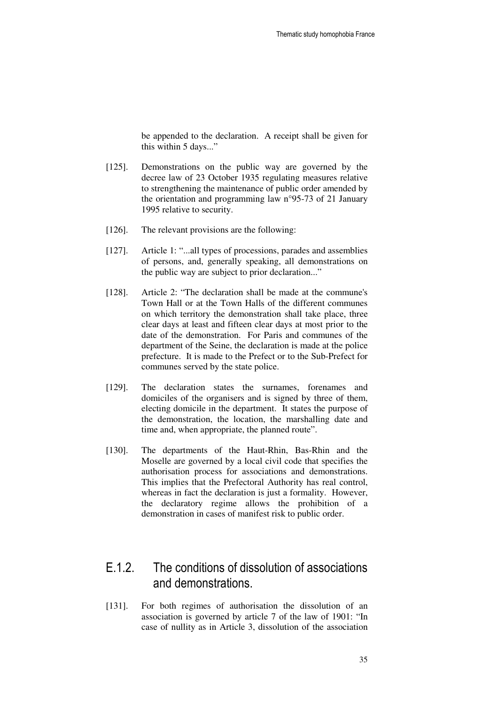be appended to the declaration. A receipt shall be given for this within 5 days..."

- [125]. Demonstrations on the public way are governed by the decree law of 23 October 1935 regulating measures relative to strengthening the maintenance of public order amended by the orientation and programming law n°95-73 of 21 January 1995 relative to security.
- [126]. The relevant provisions are the following:
- [127]. Article 1: "...all types of processions, parades and assemblies of persons, and, generally speaking, all demonstrations on the public way are subject to prior declaration..."
- [128]. Article 2: "The declaration shall be made at the commune's Town Hall or at the Town Halls of the different communes on which territory the demonstration shall take place, three clear days at least and fifteen clear days at most prior to the date of the demonstration. For Paris and communes of the department of the Seine, the declaration is made at the police prefecture. It is made to the Prefect or to the Sub-Prefect for communes served by the state police.
- [129]. The declaration states the surnames, forenames and domiciles of the organisers and is signed by three of them, electing domicile in the department. It states the purpose of the demonstration, the location, the marshalling date and time and, when appropriate, the planned route".
- [130]. The departments of the Haut-Rhin, Bas-Rhin and the Moselle are governed by a local civil code that specifies the authorisation process for associations and demonstrations. This implies that the Prefectoral Authority has real control, whereas in fact the declaration is just a formality. However, the declaratory regime allows the prohibition of a demonstration in cases of manifest risk to public order.

### E.1.2. The conditions of dissolution of associations and demonstrations.

[131]. For both regimes of authorisation the dissolution of an association is governed by article 7 of the law of 1901: "In case of nullity as in Article 3, dissolution of the association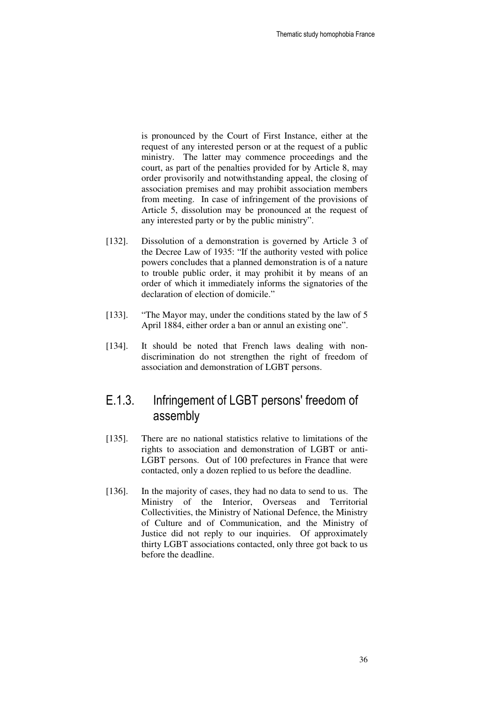is pronounced by the Court of First Instance, either at the request of any interested person or at the request of a public ministry. The latter may commence proceedings and the court, as part of the penalties provided for by Article 8, may order provisorily and notwithstanding appeal, the closing of association premises and may prohibit association members from meeting. In case of infringement of the provisions of Article 5, dissolution may be pronounced at the request of any interested party or by the public ministry".

- [132]. Dissolution of a demonstration is governed by Article 3 of the Decree Law of 1935: "If the authority vested with police powers concludes that a planned demonstration is of a nature to trouble public order, it may prohibit it by means of an order of which it immediately informs the signatories of the declaration of election of domicile."
- [133]. "The Mayor may, under the conditions stated by the law of 5 April 1884, either order a ban or annul an existing one".
- [134]. It should be noted that French laws dealing with nondiscrimination do not strengthen the right of freedom of association and demonstration of LGBT persons.

### E.1.3. Infringement of LGBT persons' freedom of assembly

- [135]. There are no national statistics relative to limitations of the rights to association and demonstration of LGBT or anti-LGBT persons. Out of 100 prefectures in France that were contacted, only a dozen replied to us before the deadline.
- [136]. In the majority of cases, they had no data to send to us. The Ministry of the Interior, Overseas and Territorial Collectivities, the Ministry of National Defence, the Ministry of Culture and of Communication, and the Ministry of Justice did not reply to our inquiries. Of approximately thirty LGBT associations contacted, only three got back to us before the deadline.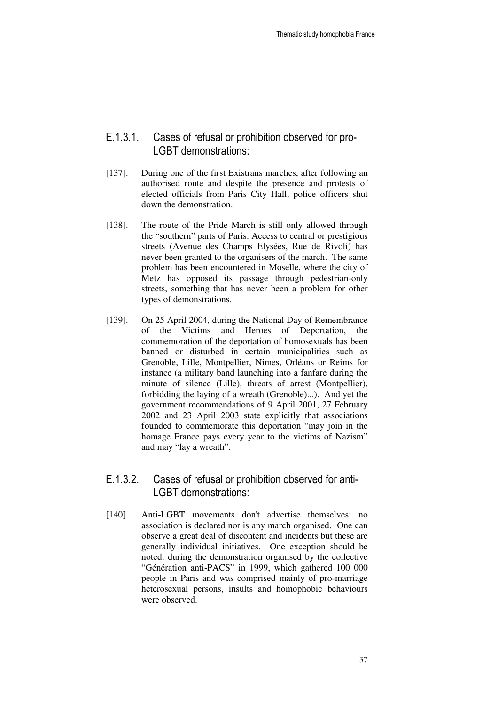### E.1.3.1. Cases of refusal or prohibition observed for pro-LGBT demonstrations:

- [137]. During one of the first Existrans marches, after following an authorised route and despite the presence and protests of elected officials from Paris City Hall, police officers shut down the demonstration.
- [138]. The route of the Pride March is still only allowed through the "southern" parts of Paris. Access to central or prestigious streets (Avenue des Champs Elysées, Rue de Rivoli) has never been granted to the organisers of the march. The same problem has been encountered in Moselle, where the city of Metz has opposed its passage through pedestrian-only streets, something that has never been a problem for other types of demonstrations.
- [139]. On 25 April 2004, during the National Day of Remembrance of the Victims and Heroes of Deportation, the commemoration of the deportation of homosexuals has been banned or disturbed in certain municipalities such as Grenoble, Lille, Montpellier, Nîmes, Orléans or Reims for instance (a military band launching into a fanfare during the minute of silence (Lille), threats of arrest (Montpellier), forbidding the laying of a wreath (Grenoble)...). And yet the government recommendations of 9 April 2001, 27 February 2002 and 23 April 2003 state explicitly that associations founded to commemorate this deportation "may join in the homage France pays every year to the victims of Nazism" and may "lay a wreath".

### E.1.3.2. Cases of refusal or prohibition observed for anti-LGBT demonstrations:

[140]. Anti-LGBT movements don't advertise themselves: no association is declared nor is any march organised. One can observe a great deal of discontent and incidents but these are generally individual initiatives. One exception should be noted: during the demonstration organised by the collective "Génération anti-PACS" in 1999, which gathered 100 000 people in Paris and was comprised mainly of pro-marriage heterosexual persons, insults and homophobic behaviours were observed.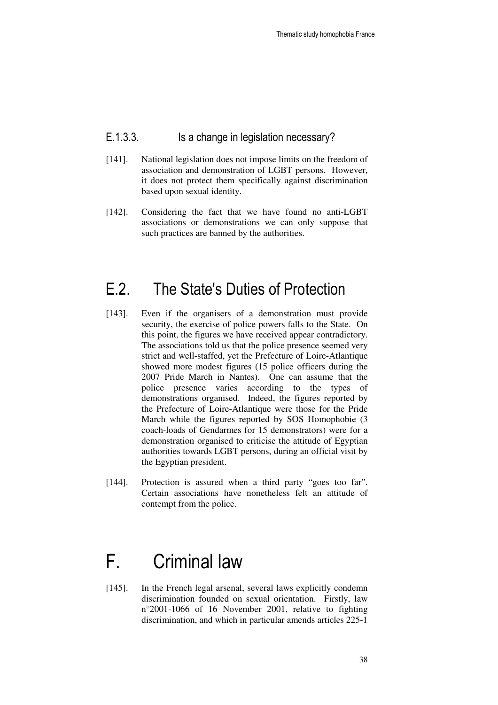### E.1.3.3. Is a change in legislation necessary?

- [141]. National legislation does not impose limits on the freedom of association and demonstration of LGBT persons. However, it does not protect them specifically against discrimination based upon sexual identity.
- [142]. Considering the fact that we have found no anti-LGBT associations or demonstrations we can only suppose that such practices are banned by the authorities.

## E.2. The State's Duties of Protection

- [143]. Even if the organisers of a demonstration must provide security, the exercise of police powers falls to the State. On this point, the figures we have received appear contradictory. The associations told us that the police presence seemed very strict and well-staffed, yet the Prefecture of Loire-Atlantique showed more modest figures (15 police officers during the 2007 Pride March in Nantes). One can assume that the police presence varies according to the types of demonstrations organised. Indeed, the figures reported by the Prefecture of Loire-Atlantique were those for the Pride March while the figures reported by SOS Homophobie (3 coach-loads of Gendarmes for 15 demonstrators) were for a demonstration organised to criticise the attitude of Egyptian authorities towards LGBT persons, during an official visit by the Egyptian president.
- [144]. Protection is assured when a third party "goes too far". Certain associations have nonetheless felt an attitude of contempt from the police.

# F. Criminal law

[145]. In the French legal arsenal, several laws explicitly condemn discrimination founded on sexual orientation. Firstly, law n°2001-1066 of 16 November 2001, relative to fighting discrimination, and which in particular amends articles 225-1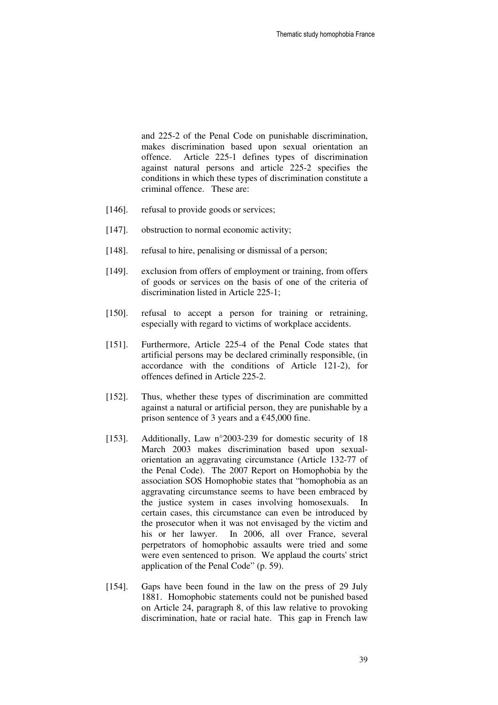and 225-2 of the Penal Code on punishable discrimination, makes discrimination based upon sexual orientation an offence. Article 225-1 defines types of discrimination against natural persons and article 225-2 specifies the conditions in which these types of discrimination constitute a criminal offence. These are:

- [146]. refusal to provide goods or services:
- [147]. obstruction to normal economic activity;
- [148]. refusal to hire, penalising or dismissal of a person;
- [149]. exclusion from offers of employment or training, from offers of goods or services on the basis of one of the criteria of discrimination listed in Article 225-1;
- [150]. refusal to accept a person for training or retraining, especially with regard to victims of workplace accidents.
- [151]. Furthermore, Article 225-4 of the Penal Code states that artificial persons may be declared criminally responsible, (in accordance with the conditions of Article 121-2), for offences defined in Article 225-2.
- [152]. Thus, whether these types of discrimination are committed against a natural or artificial person, they are punishable by a prison sentence of 3 years and a  $£45,000$  fine.
- [153]. Additionally, Law n°2003-239 for domestic security of 18 March 2003 makes discrimination based upon sexualorientation an aggravating circumstance (Article 132-77 of the Penal Code). The 2007 Report on Homophobia by the association SOS Homophobie states that "homophobia as an aggravating circumstance seems to have been embraced by the justice system in cases involving homosexuals. In certain cases, this circumstance can even be introduced by the prosecutor when it was not envisaged by the victim and his or her lawyer. In 2006, all over France, several perpetrators of homophobic assaults were tried and some were even sentenced to prison. We applaud the courts' strict application of the Penal Code" (p. 59).
- [154]. Gaps have been found in the law on the press of 29 July 1881. Homophobic statements could not be punished based on Article 24, paragraph 8, of this law relative to provoking discrimination, hate or racial hate. This gap in French law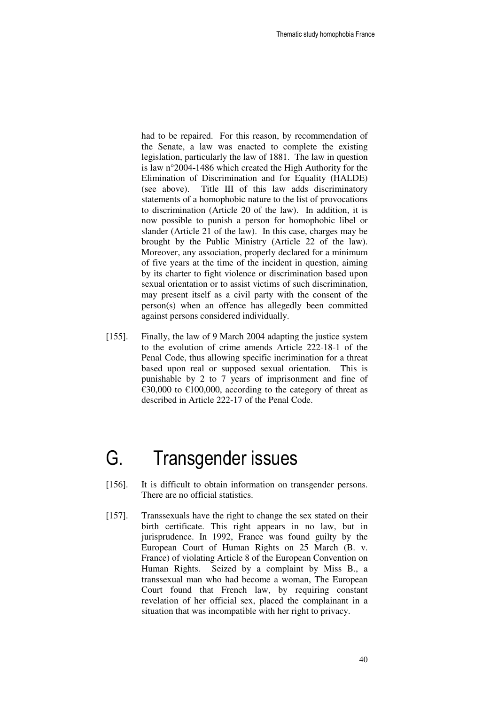had to be repaired. For this reason, by recommendation of the Senate, a law was enacted to complete the existing legislation, particularly the law of 1881. The law in question is law n°2004-1486 which created the High Authority for the Elimination of Discrimination and for Equality (HALDE) (see above). Title III of this law adds discriminatory statements of a homophobic nature to the list of provocations to discrimination (Article 20 of the law). In addition, it is now possible to punish a person for homophobic libel or slander (Article 21 of the law). In this case, charges may be brought by the Public Ministry (Article 22 of the law). Moreover, any association, properly declared for a minimum of five years at the time of the incident in question, aiming by its charter to fight violence or discrimination based upon sexual orientation or to assist victims of such discrimination, may present itself as a civil party with the consent of the person(s) when an offence has allegedly been committed against persons considered individually.

[155]. Finally, the law of 9 March 2004 adapting the justice system to the evolution of crime amends Article 222-18-1 of the Penal Code, thus allowing specific incrimination for a threat based upon real or supposed sexual orientation. This is punishable by 2 to 7 years of imprisonment and fine of €30,000 to €100,000, according to the category of threat as described in Article 222-17 of the Penal Code.

# G. Transgender issues

- [156]. It is difficult to obtain information on transgender persons. There are no official statistics.
- [157]. Transsexuals have the right to change the sex stated on their birth certificate. This right appears in no law, but in jurisprudence. In 1992, France was found guilty by the European Court of Human Rights on 25 March (B. v. France) of violating Article 8 of the European Convention on Human Rights. Seized by a complaint by Miss B., a transsexual man who had become a woman, The European Court found that French law, by requiring constant revelation of her official sex, placed the complainant in a situation that was incompatible with her right to privacy.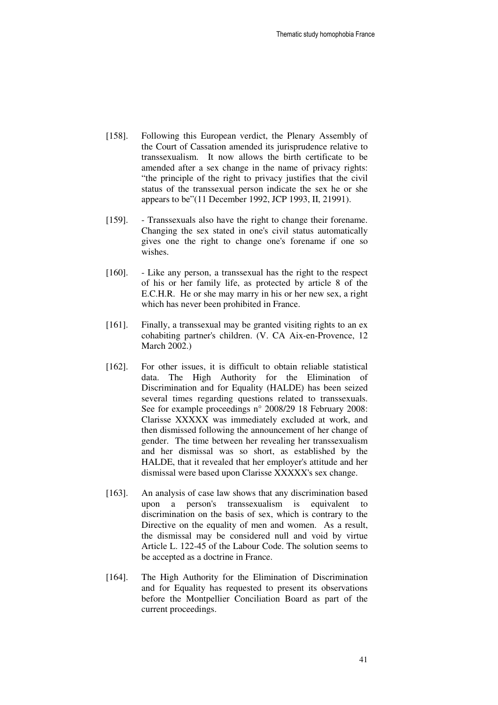- [158]. Following this European verdict, the Plenary Assembly of the Court of Cassation amended its jurisprudence relative to transsexualism. It now allows the birth certificate to be amended after a sex change in the name of privacy rights: "the principle of the right to privacy justifies that the civil status of the transsexual person indicate the sex he or she appears to be"(11 December 1992, JCP 1993, II, 21991).
- [159]. Transsexuals also have the right to change their forename. Changing the sex stated in one's civil status automatically gives one the right to change one's forename if one so wishes.
- [160]. Like any person, a transsexual has the right to the respect of his or her family life, as protected by article 8 of the E.C.H.R. He or she may marry in his or her new sex, a right which has never been prohibited in France.
- [161]. Finally, a transsexual may be granted visiting rights to an ex cohabiting partner's children. (V. CA Aix-en-Provence, 12 March 2002.)
- [162]. For other issues, it is difficult to obtain reliable statistical data. The High Authority for the Elimination of Discrimination and for Equality (HALDE) has been seized several times regarding questions related to transsexuals. See for example proceedings n° 2008/29 18 February 2008: Clarisse XXXXX was immediately excluded at work, and then dismissed following the announcement of her change of gender. The time between her revealing her transsexualism and her dismissal was so short, as established by the HALDE, that it revealed that her employer's attitude and her dismissal were based upon Clarisse XXXXX's sex change.
- [163]. An analysis of case law shows that any discrimination based upon a person's transsexualism is equivalent to discrimination on the basis of sex, which is contrary to the Directive on the equality of men and women. As a result, the dismissal may be considered null and void by virtue Article L. 122-45 of the Labour Code. The solution seems to be accepted as a doctrine in France.
- [164]. The High Authority for the Elimination of Discrimination and for Equality has requested to present its observations before the Montpellier Conciliation Board as part of the current proceedings.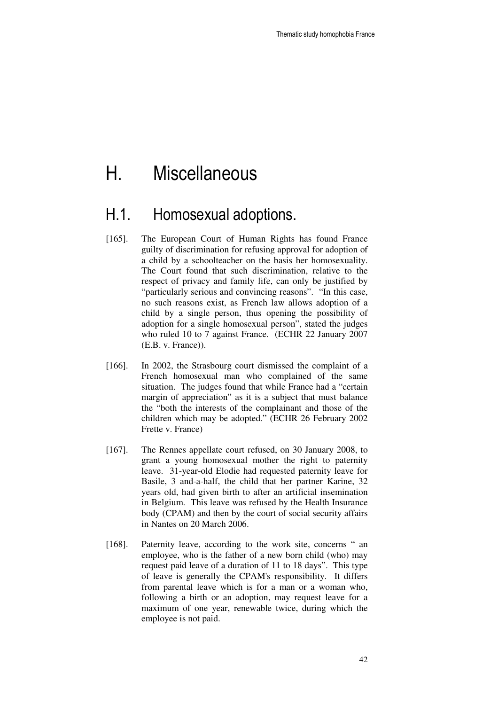# H. Miscellaneous

### H.1. Homosexual adoptions.

- [165]. The European Court of Human Rights has found France guilty of discrimination for refusing approval for adoption of a child by a schoolteacher on the basis her homosexuality. The Court found that such discrimination, relative to the respect of privacy and family life, can only be justified by "particularly serious and convincing reasons". "In this case, no such reasons exist, as French law allows adoption of a child by a single person, thus opening the possibility of adoption for a single homosexual person", stated the judges who ruled 10 to 7 against France. (ECHR 22 January 2007 (E.B. v. France)).
- [166]. In 2002, the Strasbourg court dismissed the complaint of a French homosexual man who complained of the same situation. The judges found that while France had a "certain margin of appreciation" as it is a subject that must balance the "both the interests of the complainant and those of the children which may be adopted." (ECHR 26 February 2002 Frette v. France)
- [167]. The Rennes appellate court refused, on 30 January 2008, to grant a young homosexual mother the right to paternity leave. 31-year-old Elodie had requested paternity leave for Basile, 3 and-a-half, the child that her partner Karine, 32 years old, had given birth to after an artificial insemination in Belgium. This leave was refused by the Health Insurance body (CPAM) and then by the court of social security affairs in Nantes on 20 March 2006.
- [168]. Paternity leave, according to the work site, concerns " an employee, who is the father of a new born child (who) may request paid leave of a duration of 11 to 18 days". This type of leave is generally the CPAM's responsibility. It differs from parental leave which is for a man or a woman who, following a birth or an adoption, may request leave for a maximum of one year, renewable twice, during which the employee is not paid.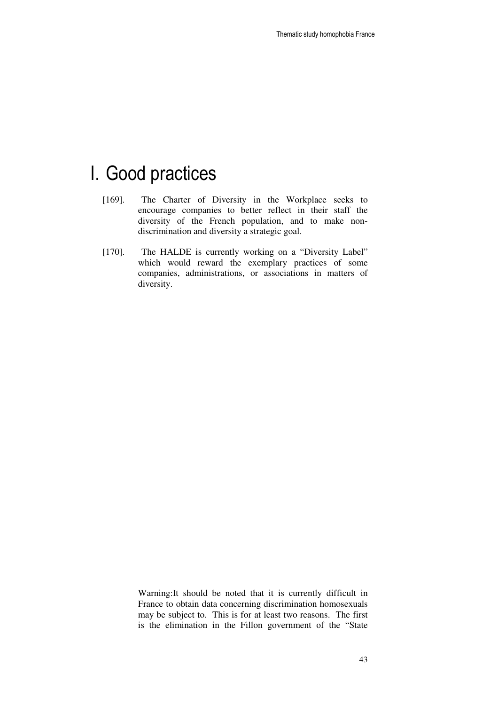# I. Good practices

- [169]. The Charter of Diversity in the Workplace seeks to encourage companies to better reflect in their staff the diversity of the French population, and to make nondiscrimination and diversity a strategic goal.
- [170]. The HALDE is currently working on a "Diversity Label" which would reward the exemplary practices of some companies, administrations, or associations in matters of diversity.

Warning:It should be noted that it is currently difficult in France to obtain data concerning discrimination homosexuals may be subject to. This is for at least two reasons. The first is the elimination in the Fillon government of the "State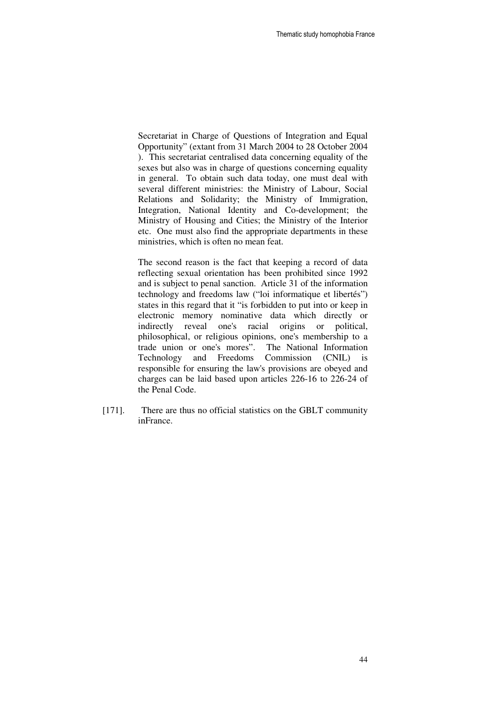Secretariat in Charge of Ouestions of Integration and Equal Opportunity" (extant from 31 March 2004 to 28 October 2004 ). This secretariat centralised data concerning equality of the sexes but also was in charge of questions concerning equality in general. To obtain such data today, one must deal with several different ministries: the Ministry of Labour, Social Relations and Solidarity; the Ministry of Immigration, Integration, National Identity and Co-development; the Ministry of Housing and Cities; the Ministry of the Interior etc. One must also find the appropriate departments in these ministries, which is often no mean feat.

The second reason is the fact that keeping a record of data reflecting sexual orientation has been prohibited since 1992 and is subject to penal sanction. Article 31 of the information technology and freedoms law ("loi informatique et libertés") states in this regard that it "is forbidden to put into or keep in electronic memory nominative data which directly or indirectly reveal one's racial origins or political, philosophical, or religious opinions, one's membership to a trade union or one's mores". The National Information Technology and Freedoms Commission (CNIL) is responsible for ensuring the law's provisions are obeyed and charges can be laid based upon articles 226-16 to 226-24 of the Penal Code.

[171]. There are thus no official statistics on the GBLT community inFrance.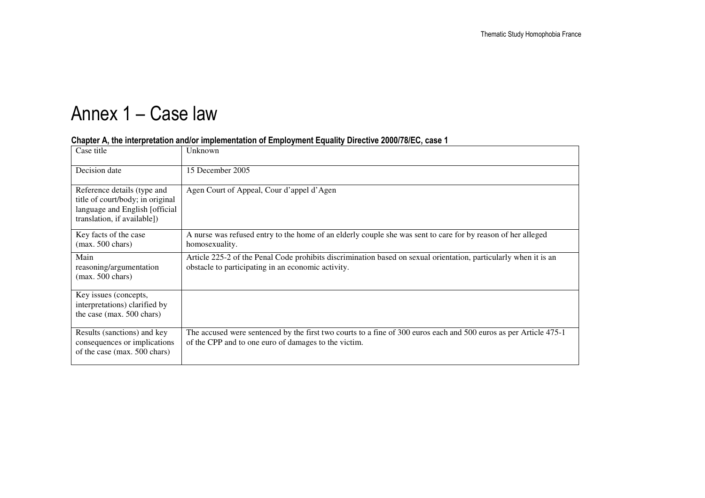# Annex 1 – Case law

| Case title                                                                                                                        | Unknown                                                                                                                                                                   |
|-----------------------------------------------------------------------------------------------------------------------------------|---------------------------------------------------------------------------------------------------------------------------------------------------------------------------|
| Decision date                                                                                                                     | 15 December 2005                                                                                                                                                          |
| Reference details (type and<br>title of court/body; in original<br>language and English [official]<br>translation, if available]) | Agen Court of Appeal, Cour d'appel d'Agen                                                                                                                                 |
| Key facts of the case<br>$(max. 500 \text{ chars})$                                                                               | A nurse was refused entry to the home of an elderly couple she was sent to care for by reason of her alleged<br>homosexuality.                                            |
| Main<br>reasoning/argumentation<br>$(max. 500 \text{ chars})$                                                                     | Article 225-2 of the Penal Code prohibits discrimination based on sexual orientation, particularly when it is an<br>obstacle to participating in an economic activity.    |
| Key issues (concepts,<br>interpretations) clarified by<br>the case (max. 500 chars)                                               |                                                                                                                                                                           |
| Results (sanctions) and key<br>consequences or implications<br>of the case (max. 500 chars)                                       | The accused were sentenced by the first two courts to a fine of 300 euros each and 500 euros as per Article 475-1<br>of the CPP and to one euro of damages to the victim. |

#### Chapter A, the interpretation and/or implementation of Employment Equality Directive 2000/78/EC, case 1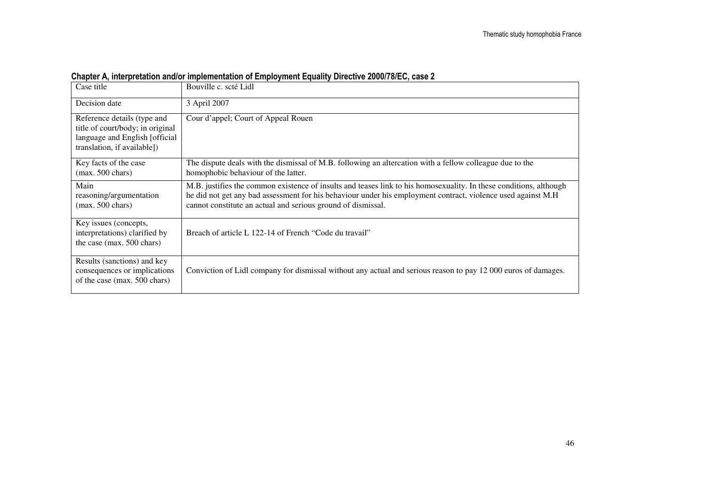| Case title                                                                                                                        | Bouville c. scté Lidl                                                                                                                                                                                                                                                                              |
|-----------------------------------------------------------------------------------------------------------------------------------|----------------------------------------------------------------------------------------------------------------------------------------------------------------------------------------------------------------------------------------------------------------------------------------------------|
| Decision date                                                                                                                     | 3 April 2007                                                                                                                                                                                                                                                                                       |
| Reference details (type and<br>title of court/body; in original<br>language and English [official]<br>translation, if available]) | Cour d'appel; Court of Appeal Rouen                                                                                                                                                                                                                                                                |
| Key facts of the case<br>$(max. 500 \text{ chars})$                                                                               | The dispute deals with the dismissal of M.B. following an altercation with a fellow colleague due to the<br>homophobic behaviour of the latter.                                                                                                                                                    |
| Main<br>reasoning/argumentation<br>$(max. 500 \text{ chars})$                                                                     | M.B. justifies the common existence of insults and teases link to his homosexuality. In these conditions, although<br>he did not get any bad assessment for his behaviour under his employment contract, violence used against M.H<br>cannot constitute an actual and serious ground of dismissal. |
| Key issues (concepts,<br>interpretations) clarified by<br>the case (max. 500 chars)                                               | Breach of article L 122-14 of French "Code du travail"                                                                                                                                                                                                                                             |
| Results (sanctions) and key<br>consequences or implications<br>of the case (max. 500 chars)                                       | Conviction of Lidl company for dismissal without any actual and serious reason to pay 12 000 euros of damages.                                                                                                                                                                                     |

Chapter A, interpretation and/or implementation of Employment Equality Directive 2000/78/EC, case 2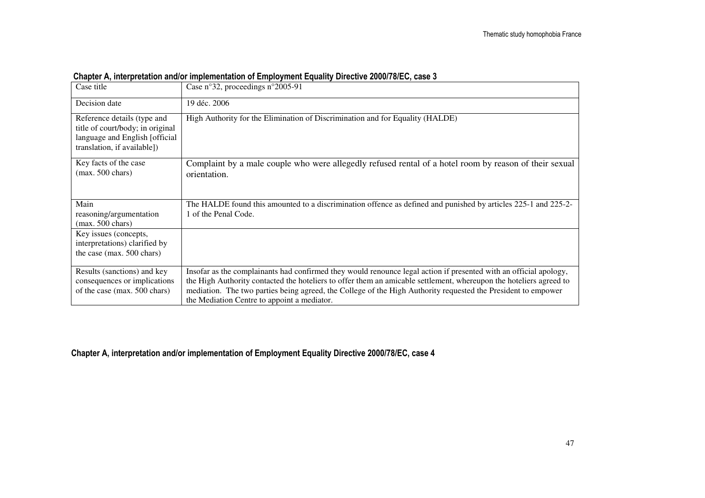| ոթագում է այստանային ա<br>Case title                                                                                             | Case n°32, proceedings n°2005-91                                                                                                                                                                                                                                                                                                                                                                        |
|----------------------------------------------------------------------------------------------------------------------------------|---------------------------------------------------------------------------------------------------------------------------------------------------------------------------------------------------------------------------------------------------------------------------------------------------------------------------------------------------------------------------------------------------------|
| Decision date                                                                                                                    | 19 déc. 2006                                                                                                                                                                                                                                                                                                                                                                                            |
| Reference details (type and<br>title of court/body; in original<br>language and English [official<br>translation, if available]) | High Authority for the Elimination of Discrimination and for Equality (HALDE)                                                                                                                                                                                                                                                                                                                           |
| Key facts of the case<br>$(max. 500 \text{ chars})$                                                                              | Complaint by a male couple who were allegedly refused rental of a hotel room by reason of their sexual<br>orientation.                                                                                                                                                                                                                                                                                  |
| Main<br>reasoning/argumentation<br>$(max. 500 \text{ chars})$                                                                    | The HALDE found this amounted to a discrimination offence as defined and punished by articles 225-1 and 225-2-<br>1 of the Penal Code.                                                                                                                                                                                                                                                                  |
| Key issues (concepts,<br>interpretations) clarified by<br>the case (max. 500 chars)                                              |                                                                                                                                                                                                                                                                                                                                                                                                         |
| Results (sanctions) and key<br>consequences or implications<br>of the case (max. 500 chars)                                      | Insofar as the complainants had confirmed they would renounce legal action if presented with an official apology,<br>the High Authority contacted the hoteliers to offer them an amicable settlement, whereupon the hoteliers agreed to<br>mediation. The two parties being agreed, the College of the High Authority requested the President to empower<br>the Mediation Centre to appoint a mediator. |

Chapter A, interpretation and/or implementation of Employment Equality Directive 2000/78/EC, case 3

Chapter A, interpretation and/or implementation of Employment Equality Directive 2000/78/EC, case 4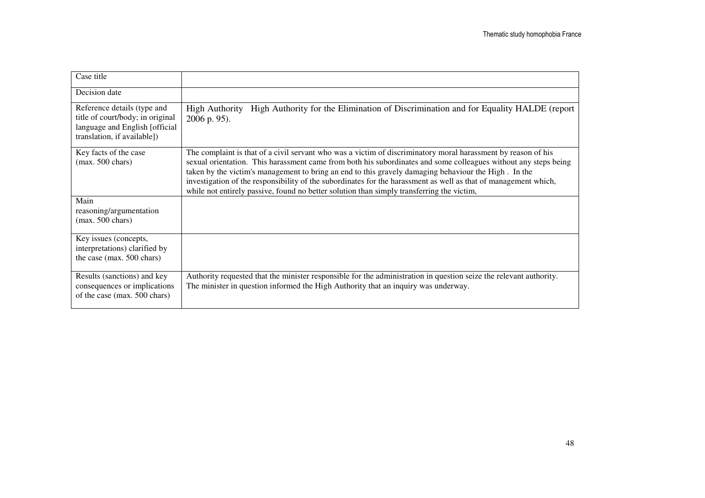| Case title                                                                                                                        |                                                                                                                                                                                                                                                                                                                                                                                                                                                                                                                                                          |
|-----------------------------------------------------------------------------------------------------------------------------------|----------------------------------------------------------------------------------------------------------------------------------------------------------------------------------------------------------------------------------------------------------------------------------------------------------------------------------------------------------------------------------------------------------------------------------------------------------------------------------------------------------------------------------------------------------|
| Decision date                                                                                                                     |                                                                                                                                                                                                                                                                                                                                                                                                                                                                                                                                                          |
| Reference details (type and<br>title of court/body; in original<br>language and English [official]<br>translation, if available]) | High Authority for the Elimination of Discrimination and for Equality HALDE (report<br><b>High Authority</b><br>2006 p. 95).                                                                                                                                                                                                                                                                                                                                                                                                                             |
| Key facts of the case<br>$(max. 500 \text{ chars})$                                                                               | The complaint is that of a civil servant who was a victim of discriminatory moral harassment by reason of his<br>sexual orientation. This harassment came from both his subordinates and some colleagues without any steps being<br>taken by the victim's management to bring an end to this gravely damaging behaviour the High. In the<br>investigation of the responsibility of the subordinates for the harassment as well as that of management which,<br>while not entirely passive, found no better solution than simply transferring the victim, |
| Main<br>reasoning/argumentation<br>$(max. 500 \text{ chars})$                                                                     |                                                                                                                                                                                                                                                                                                                                                                                                                                                                                                                                                          |
| Key issues (concepts,<br>interpretations) clarified by<br>the case (max. 500 chars)                                               |                                                                                                                                                                                                                                                                                                                                                                                                                                                                                                                                                          |
| Results (sanctions) and key<br>consequences or implications<br>of the case (max. 500 chars)                                       | Authority requested that the minister responsible for the administration in question seize the relevant authority.<br>The minister in question informed the High Authority that an inquiry was underway.                                                                                                                                                                                                                                                                                                                                                 |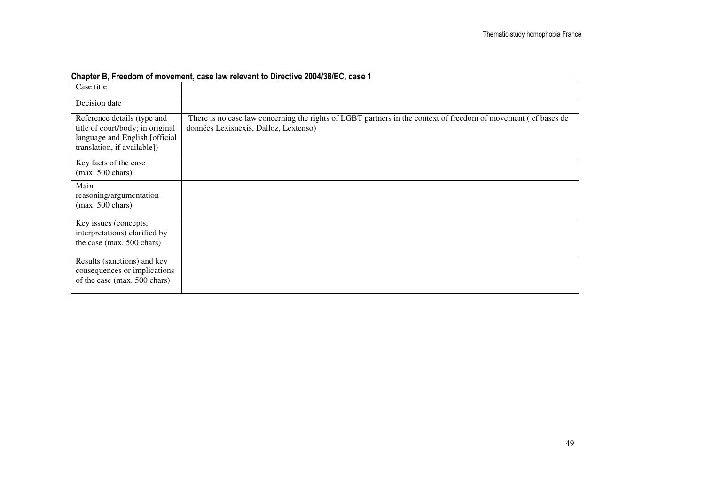| Case title                                                                                                                       |                                                                                                                                                         |
|----------------------------------------------------------------------------------------------------------------------------------|---------------------------------------------------------------------------------------------------------------------------------------------------------|
| Decision date                                                                                                                    |                                                                                                                                                         |
| Reference details (type and<br>title of court/body; in original<br>language and English [official<br>translation, if available]) | There is no case law concerning the rights of LGBT partners in the context of freedom of movement (cf bases de<br>données Lexisnexis, Dalloz, Lextenso) |
| Key facts of the case<br>$(max. 500 \text{ chars})$                                                                              |                                                                                                                                                         |
| Main<br>reasoning/argumentation<br>$(max. 500 \text{ chars})$                                                                    |                                                                                                                                                         |
| Key issues (concepts,<br>interpretations) clarified by<br>the case (max. 500 chars)                                              |                                                                                                                                                         |
| Results (sanctions) and key<br>consequences or implications<br>of the case (max. 500 chars)                                      |                                                                                                                                                         |

#### Chapter B, Freedom of movement, case law relevant to Directive 2004/38/EC, case 1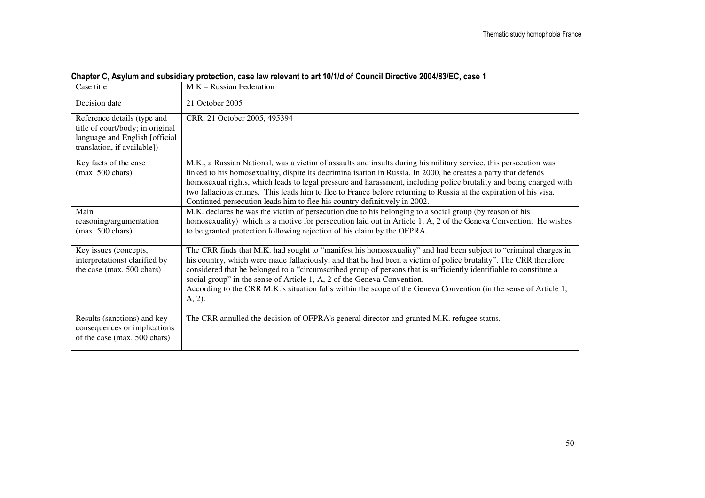| Case title                                                                                                                       | $M K - Russian Federation$                                                                                                                                                                                                                                                                                                                                                                                                                                                                                                                                          |
|----------------------------------------------------------------------------------------------------------------------------------|---------------------------------------------------------------------------------------------------------------------------------------------------------------------------------------------------------------------------------------------------------------------------------------------------------------------------------------------------------------------------------------------------------------------------------------------------------------------------------------------------------------------------------------------------------------------|
| Decision date                                                                                                                    | 21 October 2005                                                                                                                                                                                                                                                                                                                                                                                                                                                                                                                                                     |
| Reference details (type and<br>title of court/body; in original<br>language and English [official<br>translation, if available]) | CRR, 21 October 2005, 495394                                                                                                                                                                                                                                                                                                                                                                                                                                                                                                                                        |
| Key facts of the case<br>$(max. 500 \text{ chars})$                                                                              | M.K., a Russian National, was a victim of assaults and insults during his military service, this persecution was<br>linked to his homosexuality, dispite its decriminalisation in Russia. In 2000, he creates a party that defends<br>homosexual rights, which leads to legal pressure and harassment, including police brutality and being charged with<br>two fallacious crimes. This leads him to flee to France before returning to Russia at the expiration of his visa.<br>Continued persecution leads him to flee his country definitively in 2002.          |
| Main<br>reasoning/argumentation<br>$(max. 500 \text{ chars})$                                                                    | M.K. declares he was the victim of persecution due to his belonging to a social group (by reason of his<br>homosexuality) which is a motive for persecution laid out in Article 1, A, 2 of the Geneva Convention. He wishes<br>to be granted protection following rejection of his claim by the OFPRA.                                                                                                                                                                                                                                                              |
| Key issues (concepts,<br>interpretations) clarified by<br>the case (max. 500 chars)                                              | The CRR finds that M.K. had sought to "manifest his homosexuality" and had been subject to "criminal charges in<br>his country, which were made fallaciously, and that he had been a victim of police brutality". The CRR therefore<br>considered that he belonged to a "circumscribed group of persons that is sufficiently identifiable to constitute a<br>social group" in the sense of Article 1, A, 2 of the Geneva Convention.<br>According to the CRR M.K.'s situation falls within the scope of the Geneva Convention (in the sense of Article 1,<br>A, 2). |
| Results (sanctions) and key<br>consequences or implications<br>of the case (max. 500 chars)                                      | The CRR annulled the decision of OFPRA's general director and granted M.K. refugee status.                                                                                                                                                                                                                                                                                                                                                                                                                                                                          |

Chapter C, Asylum and subsidiary protection, case law relevant to art 10/1/d of Council Directive 2004/83/EC, case 1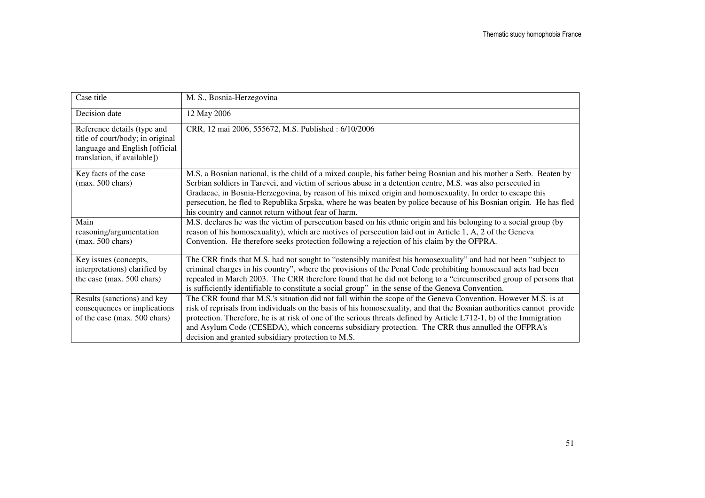| Case title                                                                                                                       | M. S., Bosnia-Herzegovina                                                                                                                                                                                                                                                                                                                                                                                                                                                                                                   |
|----------------------------------------------------------------------------------------------------------------------------------|-----------------------------------------------------------------------------------------------------------------------------------------------------------------------------------------------------------------------------------------------------------------------------------------------------------------------------------------------------------------------------------------------------------------------------------------------------------------------------------------------------------------------------|
| Decision date                                                                                                                    | 12 May 2006                                                                                                                                                                                                                                                                                                                                                                                                                                                                                                                 |
| Reference details (type and<br>title of court/body; in original<br>language and English [official<br>translation, if available]) | CRR, 12 mai 2006, 555672, M.S. Published: 6/10/2006                                                                                                                                                                                                                                                                                                                                                                                                                                                                         |
| Key facts of the case<br>$(max. 500 \text{ chars})$                                                                              | M.S, a Bosnian national, is the child of a mixed couple, his father being Bosnian and his mother a Serb. Beaten by<br>Serbian soldiers in Tarevci, and victim of serious abuse in a detention centre, M.S. was also persecuted in<br>Gradacac, in Bosnia-Herzegovina, by reason of his mixed origin and homosexuality. In order to escape this<br>persecution, he fled to Republika Srpska, where he was beaten by police because of his Bosnian origin. He has fled<br>his country and cannot return without fear of harm. |
| Main<br>reasoning/argumentation<br>$(max. 500 \text{ chars})$                                                                    | M.S. declares he was the victim of persecution based on his ethnic origin and his belonging to a social group (by<br>reason of his homosexuality), which are motives of persecution laid out in Article 1, A, 2 of the Geneva<br>Convention. He therefore seeks protection following a rejection of his claim by the OFPRA.                                                                                                                                                                                                 |
| Key issues (concepts,<br>interpretations) clarified by<br>the case (max. 500 chars)                                              | The CRR finds that M.S. had not sought to "ostensibly manifest his homosexuality" and had not been "subject to<br>criminal charges in his country", where the provisions of the Penal Code prohibiting homosexual acts had been<br>repealed in March 2003. The CRR therefore found that he did not belong to a "circumscribed group of persons that<br>is sufficiently identifiable to constitute a social group" in the sense of the Geneva Convention.                                                                    |
| Results (sanctions) and key<br>consequences or implications<br>of the case (max. 500 chars)                                      | The CRR found that M.S.'s situation did not fall within the scope of the Geneva Convention. However M.S. is at<br>risk of reprisals from individuals on the basis of his homosexuality, and that the Bosnian authorities cannot provide<br>protection. Therefore, he is at risk of one of the serious threats defined by Article L712-1, b) of the Immigration<br>and Asylum Code (CESEDA), which concerns subsidiary protection. The CRR thus annulled the OFPRA's<br>decision and granted subsidiary protection to M.S.   |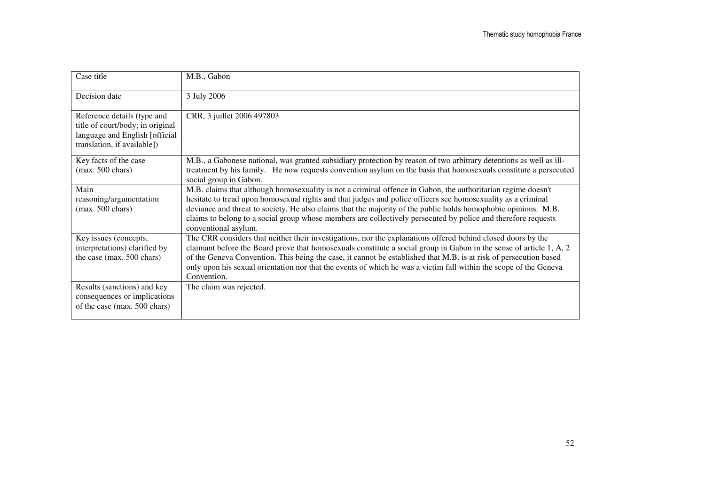| Case title                                                                                                                        | M.B., Gabon                                                                                                                                                                                                                                                                                                                                                                                                                                                                                  |
|-----------------------------------------------------------------------------------------------------------------------------------|----------------------------------------------------------------------------------------------------------------------------------------------------------------------------------------------------------------------------------------------------------------------------------------------------------------------------------------------------------------------------------------------------------------------------------------------------------------------------------------------|
| Decision date                                                                                                                     | 3 July 2006                                                                                                                                                                                                                                                                                                                                                                                                                                                                                  |
| Reference details (type and<br>title of court/body; in original<br>language and English [official]<br>translation, if available]) | CRR, 3 juillet 2006 497803                                                                                                                                                                                                                                                                                                                                                                                                                                                                   |
| Key facts of the case<br>$(max. 500 \text{ chars})$                                                                               | M.B., a Gabonese national, was granted subsidiary protection by reason of two arbitrary detentions as well as ill-<br>treatment by his family. He now requests convention asylum on the basis that homosexuals constitute a persecuted<br>social group in Gabon.                                                                                                                                                                                                                             |
| Main<br>reasoning/argumentation<br>$(max. 500 \text{ chars})$                                                                     | M.B. claims that although homosexuality is not a criminal offence in Gabon, the authoritarian regime doesn't<br>hesitate to tread upon homosexual rights and that judges and police officers see homosexuality as a criminal<br>deviance and threat to society. He also claims that the majority of the public holds homophobic opinions. M.B.<br>claims to belong to a social group whose members are collectively persecuted by police and therefore requests<br>conventional asylum.      |
| Key issues (concepts,<br>interpretations) clarified by<br>the case (max. 500 chars)                                               | The CRR considers that neither their investigations, nor the explanations offered behind closed doors by the<br>claimant before the Board prove that homosexuals constitute a social group in Gabon in the sense of article 1, A, 2<br>of the Geneva Convention. This being the case, it cannot be established that M.B. is at risk of persecution based<br>only upon his sexual orientation nor that the events of which he was a victim fall within the scope of the Geneva<br>Convention. |
| Results (sanctions) and key<br>consequences or implications<br>of the case (max. 500 chars)                                       | The claim was rejected.                                                                                                                                                                                                                                                                                                                                                                                                                                                                      |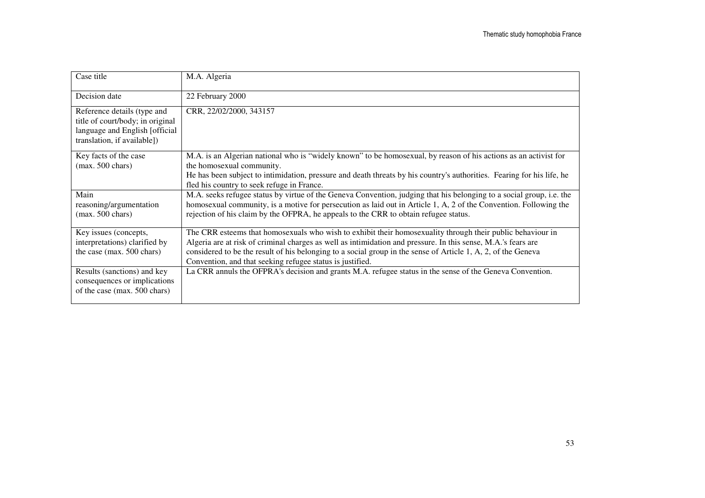| Case title                                                                                                                       | M.A. Algeria                                                                                                                                                                                                                                                                                                                                                                                              |
|----------------------------------------------------------------------------------------------------------------------------------|-----------------------------------------------------------------------------------------------------------------------------------------------------------------------------------------------------------------------------------------------------------------------------------------------------------------------------------------------------------------------------------------------------------|
|                                                                                                                                  |                                                                                                                                                                                                                                                                                                                                                                                                           |
| Decision date                                                                                                                    | 22 February 2000                                                                                                                                                                                                                                                                                                                                                                                          |
| Reference details (type and<br>title of court/body; in original<br>language and English [official<br>translation, if available]) | CRR, 22/02/2000, 343157                                                                                                                                                                                                                                                                                                                                                                                   |
| Key facts of the case<br>$(max. 500 \text{ chars})$                                                                              | M.A. is an Algerian national who is "widely known" to be homosexual, by reason of his actions as an activist for<br>the homosexual community.<br>He has been subject to intimidation, pressure and death threats by his country's authorities. Fearing for his life, he<br>fled his country to seek refuge in France.                                                                                     |
| Main<br>reasoning/argumentation<br>$(max. 500 \text{ chars})$                                                                    | M.A. seeks refugee status by virtue of the Geneva Convention, judging that his belonging to a social group, i.e. the<br>homosexual community, is a motive for persecution as laid out in Article 1, A, 2 of the Convention. Following the<br>rejection of his claim by the OFPRA, he appeals to the CRR to obtain refugee status.                                                                         |
| Key issues (concepts,<br>interpretations) clarified by<br>the case (max. 500 chars)                                              | The CRR esteems that homosexuals who wish to exhibit their homosexuality through their public behaviour in<br>Algeria are at risk of criminal charges as well as intimidation and pressure. In this sense, M.A.'s fears are<br>considered to be the result of his belonging to a social group in the sense of Article 1, A, 2, of the Geneva<br>Convention, and that seeking refugee status is justified. |
| Results (sanctions) and key<br>consequences or implications<br>of the case (max. 500 chars)                                      | La CRR annuls the OFPRA's decision and grants M.A. refugee status in the sense of the Geneva Convention.                                                                                                                                                                                                                                                                                                  |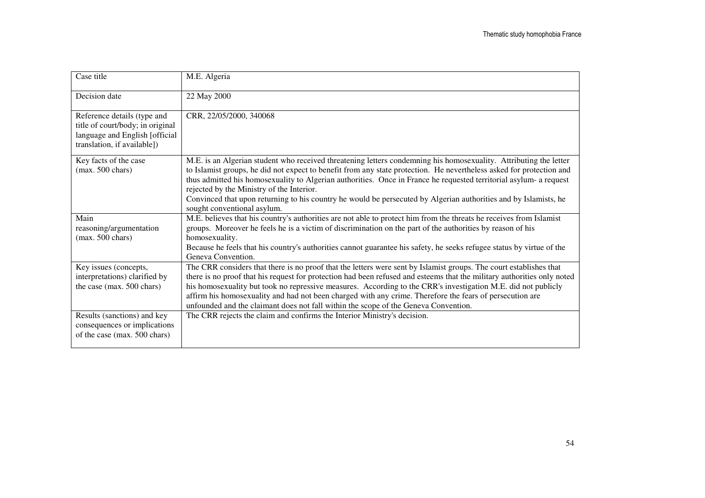| Case title                                                                                                                       | M.E. Algeria                                                                                                                                                                                                                                                                                                                                                                                                                                                                                                                                                      |
|----------------------------------------------------------------------------------------------------------------------------------|-------------------------------------------------------------------------------------------------------------------------------------------------------------------------------------------------------------------------------------------------------------------------------------------------------------------------------------------------------------------------------------------------------------------------------------------------------------------------------------------------------------------------------------------------------------------|
| Decision date                                                                                                                    | 22 May 2000                                                                                                                                                                                                                                                                                                                                                                                                                                                                                                                                                       |
| Reference details (type and<br>title of court/body; in original<br>language and English [official<br>translation, if available]) | CRR, 22/05/2000, 340068                                                                                                                                                                                                                                                                                                                                                                                                                                                                                                                                           |
| Key facts of the case<br>$(max. 500 \text{ chars})$                                                                              | M.E. is an Algerian student who received threatening letters condemning his homosexuality. Attributing the letter<br>to Islamist groups, he did not expect to benefit from any state protection. He nevertheless asked for protection and<br>thus admitted his homosexuality to Algerian authorities. Once in France he requested territorial asylum- a request<br>rejected by the Ministry of the Interior.<br>Convinced that upon returning to his country he would be persecuted by Algerian authorities and by Islamists, he<br>sought conventional asylum.   |
| Main<br>reasoning/argumentation<br>$(max. 500 \text{ chars})$                                                                    | M.E. believes that his country's authorities are not able to protect him from the threats he receives from Islamist<br>groups. Moreover he feels he is a victim of discrimination on the part of the authorities by reason of his<br>homosexuality.<br>Because he feels that his country's authorities cannot guarantee his safety, he seeks refugee status by virtue of the<br>Geneva Convention.                                                                                                                                                                |
| Key issues (concepts,<br>interpretations) clarified by<br>the case (max. 500 chars)                                              | The CRR considers that there is no proof that the letters were sent by Islamist groups. The court establishes that<br>there is no proof that his request for protection had been refused and esteems that the military authorities only noted<br>his homosexuality but took no repressive measures. According to the CRR's investigation M.E. did not publicly<br>affirm his homosexuality and had not been charged with any crime. Therefore the fears of persecution are<br>unfounded and the claimant does not fall within the scope of the Geneva Convention. |
| Results (sanctions) and key<br>consequences or implications<br>of the case (max. 500 chars)                                      | The CRR rejects the claim and confirms the Interior Ministry's decision.                                                                                                                                                                                                                                                                                                                                                                                                                                                                                          |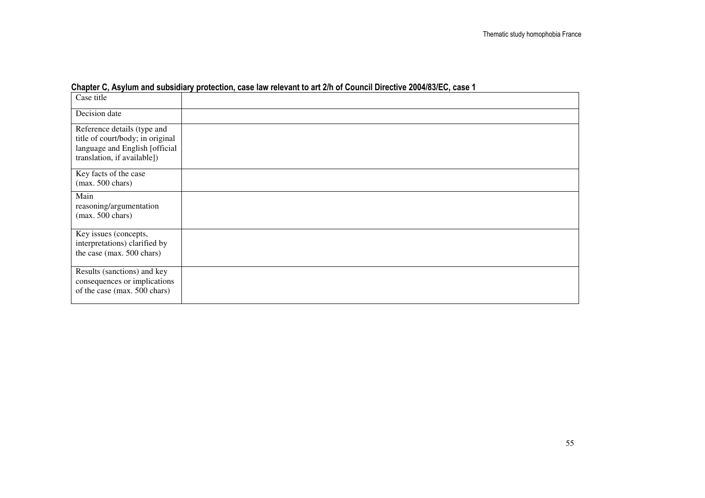| Case title                                                                                                                       |  |
|----------------------------------------------------------------------------------------------------------------------------------|--|
| Decision date                                                                                                                    |  |
| Reference details (type and<br>title of court/body; in original<br>language and English [official<br>translation, if available]) |  |
| Key facts of the case<br>$(max. 500 \text{ chars})$                                                                              |  |
| Main<br>reasoning/argumentation<br>$(max. 500 \text{ chars})$                                                                    |  |
| Key issues (concepts,<br>interpretations) clarified by<br>the case (max. 500 chars)                                              |  |
| Results (sanctions) and key<br>consequences or implications<br>of the case (max. 500 chars)                                      |  |

#### Chapter C, Asylum and subsidiary protection, case law relevant to art 2/h of Council Directive 2004/83/EC, case 1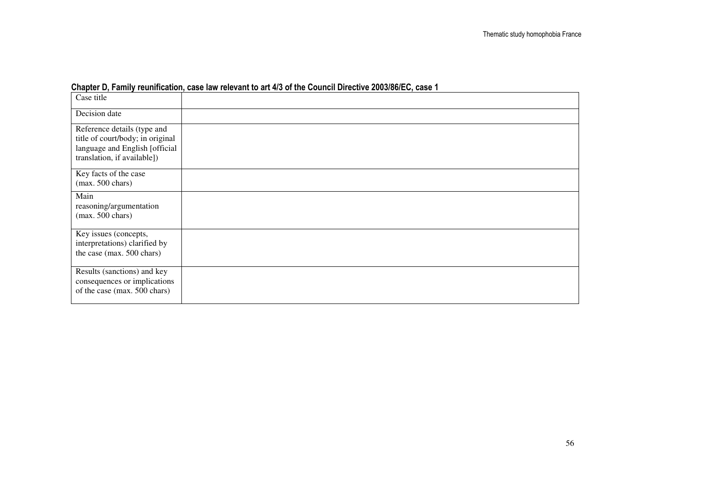| Case title                                                                                                                       |  |
|----------------------------------------------------------------------------------------------------------------------------------|--|
| Decision date                                                                                                                    |  |
| Reference details (type and<br>title of court/body; in original<br>language and English [official<br>translation, if available]) |  |
| Key facts of the case<br>$(max. 500 \text{ chars})$                                                                              |  |
| Main<br>reasoning/argumentation<br>$(max. 500 \text{ chars})$                                                                    |  |
| Key issues (concepts,<br>interpretations) clarified by<br>the case (max. 500 chars)                                              |  |
| Results (sanctions) and key<br>consequences or implications<br>of the case (max. 500 chars)                                      |  |

#### Chapter D, Family reunification, case law relevant to art 4/3 of the Council Directive 2003/86/EC, case 1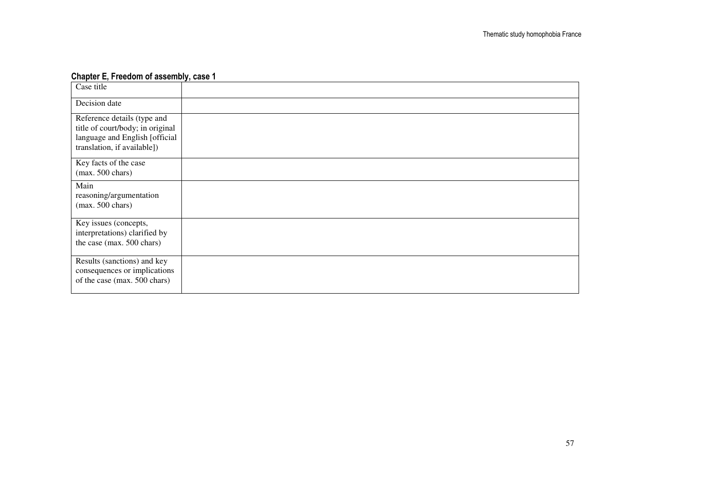#### Chapter E, Freedom of assembly, case 1

| Case title                                                                                                                       |  |
|----------------------------------------------------------------------------------------------------------------------------------|--|
| Decision date                                                                                                                    |  |
| Reference details (type and<br>title of court/body; in original<br>language and English [official<br>translation, if available]) |  |
| Key facts of the case<br>$(max. 500 \text{ chars})$                                                                              |  |
| Main<br>reasoning/argumentation<br>$(max. 500 \text{ chars})$                                                                    |  |
| Key issues (concepts,<br>interpretations) clarified by<br>the case (max. 500 chars)                                              |  |
| Results (sanctions) and key<br>consequences or implications<br>of the case (max. 500 chars)                                      |  |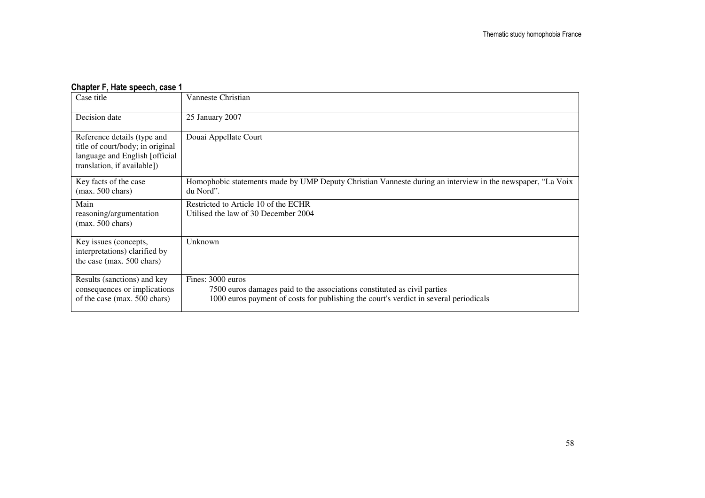#### Chapter F, Hate speech, case 1

| Case title                                                                                                                       | Vanneste Christian                                                                                                                                                                     |
|----------------------------------------------------------------------------------------------------------------------------------|----------------------------------------------------------------------------------------------------------------------------------------------------------------------------------------|
| Decision date                                                                                                                    | 25 January 2007                                                                                                                                                                        |
| Reference details (type and<br>title of court/body; in original<br>language and English [official<br>translation, if available]) | Douai Appellate Court                                                                                                                                                                  |
| Key facts of the case<br>$(max. 500 \text{ chars})$                                                                              | Homophobic statements made by UMP Deputy Christian Vanneste during an interview in the newspaper, "La Voix"<br>du Nord".                                                               |
| Main<br>reasoning/argumentation<br>$(max. 500 \text{ chars})$                                                                    | Restricted to Article 10 of the ECHR<br>Utilised the law of 30 December 2004                                                                                                           |
| Key issues (concepts,<br>interpretations) clarified by<br>the case (max. 500 chars)                                              | Unknown                                                                                                                                                                                |
| Results (sanctions) and key<br>consequences or implications<br>of the case (max. 500 chars)                                      | Fines: 3000 euros<br>7500 euros damages paid to the associations constituted as civil parties<br>1000 euros payment of costs for publishing the court's verdict in several periodicals |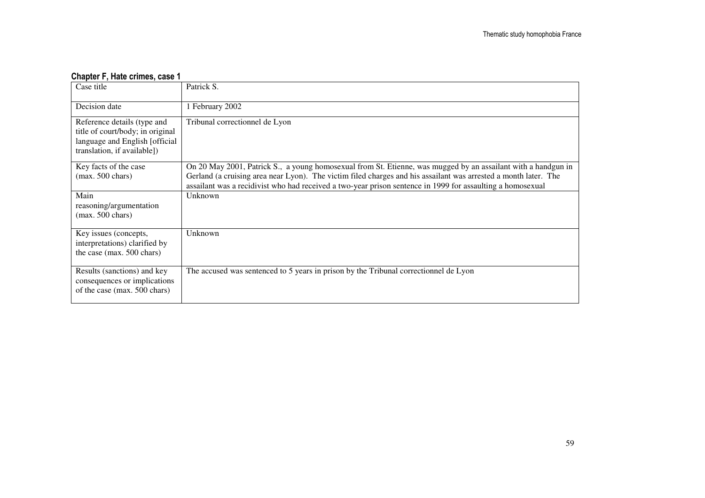| Chapter F, Hate crimes, case 1 |  |  |  |  |
|--------------------------------|--|--|--|--|
|--------------------------------|--|--|--|--|

| Case title                                                                                                                       | Patrick S.                                                                                                                                                                                                                                                                                                                                     |
|----------------------------------------------------------------------------------------------------------------------------------|------------------------------------------------------------------------------------------------------------------------------------------------------------------------------------------------------------------------------------------------------------------------------------------------------------------------------------------------|
| Decision date                                                                                                                    | 1 February 2002                                                                                                                                                                                                                                                                                                                                |
| Reference details (type and<br>title of court/body; in original<br>language and English [official<br>translation, if available]) | Tribunal correctionnel de Lyon                                                                                                                                                                                                                                                                                                                 |
| Key facts of the case<br>$(max. 500 \text{ chars})$                                                                              | On 20 May 2001, Patrick S., a young homosexual from St. Etienne, was mugged by an assailant with a handgun in<br>Gerland (a cruising area near Lyon). The victim filed charges and his assailant was arrested a month later. The<br>assailant was a recidivist who had received a two-year prison sentence in 1999 for assaulting a homosexual |
| Main<br>reasoning/argumentation<br>$(max. 500 \text{ chars})$                                                                    | Unknown                                                                                                                                                                                                                                                                                                                                        |
| Key issues (concepts,<br>interpretations) clarified by<br>the case (max. 500 chars)                                              | Unknown                                                                                                                                                                                                                                                                                                                                        |
| Results (sanctions) and key<br>consequences or implications<br>of the case (max. 500 chars)                                      | The accused was sentenced to 5 years in prison by the Tribunal correctionnel de Lyon                                                                                                                                                                                                                                                           |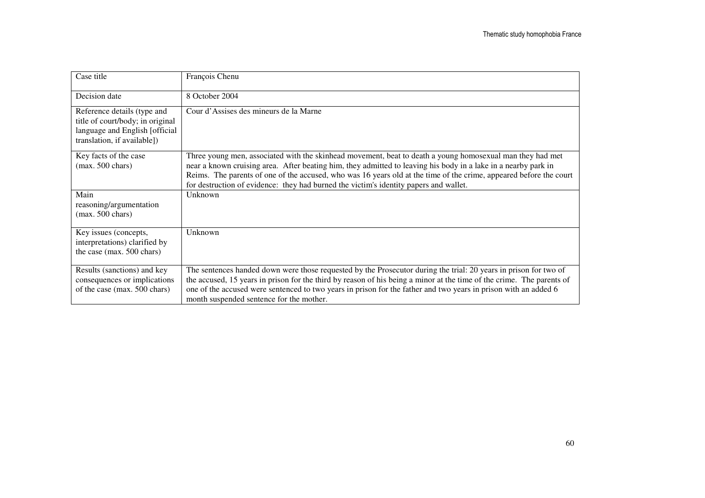| Case title                                                                                                                       | François Chenu                                                                                                                                                                                                                                                                                                                                                                                                                             |
|----------------------------------------------------------------------------------------------------------------------------------|--------------------------------------------------------------------------------------------------------------------------------------------------------------------------------------------------------------------------------------------------------------------------------------------------------------------------------------------------------------------------------------------------------------------------------------------|
| Decision date                                                                                                                    | 8 October 2004                                                                                                                                                                                                                                                                                                                                                                                                                             |
| Reference details (type and<br>title of court/body; in original<br>language and English [official<br>translation, if available]) | Cour d'Assises des mineurs de la Marne                                                                                                                                                                                                                                                                                                                                                                                                     |
| Key facts of the case<br>$(max. 500 \text{ chars})$                                                                              | Three young men, associated with the skinhead movement, beat to death a young homosexual man they had met<br>near a known cruising area. After beating him, they admitted to leaving his body in a lake in a nearby park in<br>Reims. The parents of one of the accused, who was 16 years old at the time of the crime, appeared before the court<br>for destruction of evidence: they had burned the victim's identity papers and wallet. |
| Main<br>reasoning/argumentation<br>$(max. 500 \text{ chars})$                                                                    | Unknown                                                                                                                                                                                                                                                                                                                                                                                                                                    |
| Key issues (concepts,<br>interpretations) clarified by<br>the case (max. 500 chars)                                              | Unknown                                                                                                                                                                                                                                                                                                                                                                                                                                    |
| Results (sanctions) and key<br>consequences or implications<br>of the case (max. 500 chars)                                      | The sentences handed down were those requested by the Prosecutor during the trial: 20 years in prison for two of<br>the accused, 15 years in prison for the third by reason of his being a minor at the time of the crime. The parents of<br>one of the accused were sentenced to two years in prison for the father and two years in prison with an added 6<br>month suspended sentence for the mother.                                   |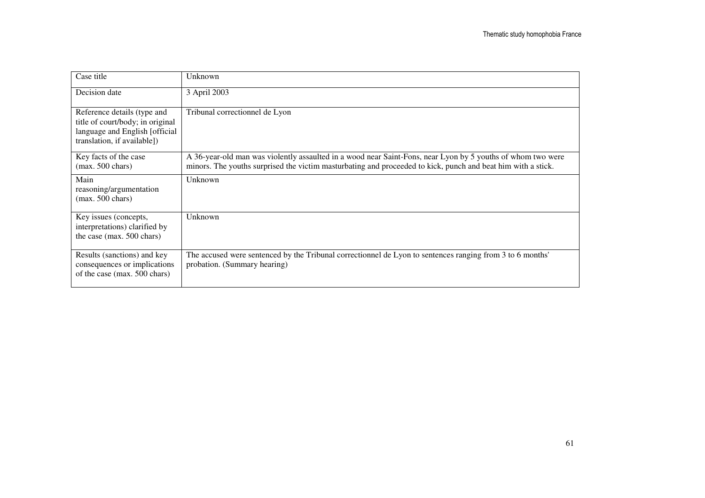| Case title                                                                                                                       | Unknown                                                                                                                                                                                                                     |
|----------------------------------------------------------------------------------------------------------------------------------|-----------------------------------------------------------------------------------------------------------------------------------------------------------------------------------------------------------------------------|
| Decision date                                                                                                                    | 3 April 2003                                                                                                                                                                                                                |
| Reference details (type and<br>title of court/body; in original<br>language and English [official<br>translation, if available]) | Tribunal correctionnel de Lyon                                                                                                                                                                                              |
| Key facts of the case<br>$(max. 500 \text{ chars})$                                                                              | A 36-year-old man was violently assaulted in a wood near Saint-Fons, near Lyon by 5 youths of whom two were<br>minors. The youths surprised the victim masturbating and proceeded to kick, punch and beat him with a stick. |
| Main<br>reasoning/argumentation<br>$(max. 500 \text{ chars})$                                                                    | Unknown                                                                                                                                                                                                                     |
| Key issues (concepts,<br>interpretations) clarified by<br>the case (max. 500 chars)                                              | Unknown                                                                                                                                                                                                                     |
| Results (sanctions) and key<br>consequences or implications<br>of the case (max. 500 chars)                                      | The accused were sentenced by the Tribunal correctionnel de Lyon to sentences ranging from 3 to 6 months'<br>probation. (Summary hearing)                                                                                   |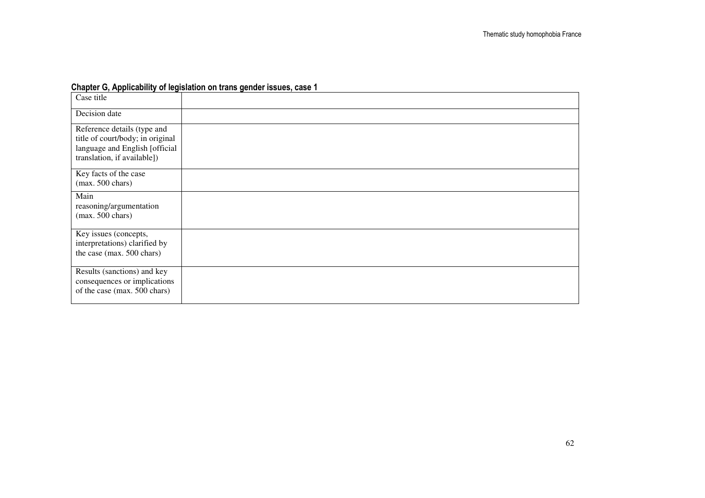| Case title                                                                                                                       |  |
|----------------------------------------------------------------------------------------------------------------------------------|--|
| Decision date                                                                                                                    |  |
| Reference details (type and<br>title of court/body; in original<br>language and English [official<br>translation, if available]) |  |
| Key facts of the case<br>$(max. 500 \text{ chars})$                                                                              |  |
| Main<br>reasoning/argumentation<br>$(max. 500 \text{ chars})$                                                                    |  |
| Key issues (concepts,<br>interpretations) clarified by<br>the case (max. 500 chars)                                              |  |
| Results (sanctions) and key<br>consequences or implications<br>of the case (max. 500 chars)                                      |  |

#### Chapter G, Applicability of legislation on trans gender issues, case 1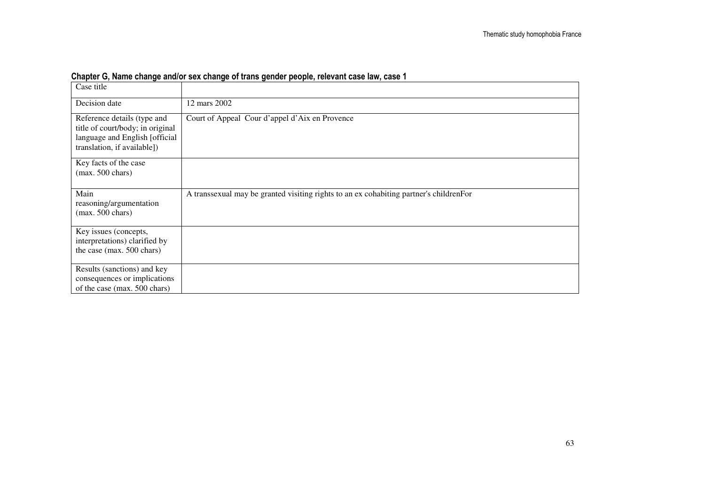| Case title                                                                                                                       |                                                                                        |
|----------------------------------------------------------------------------------------------------------------------------------|----------------------------------------------------------------------------------------|
| Decision date                                                                                                                    | 12 mars 2002                                                                           |
| Reference details (type and<br>title of court/body; in original<br>language and English [official<br>translation, if available]) | Court of Appeal Cour d'appel d'Aix en Provence                                         |
| Key facts of the case<br>$(max. 500 \text{ chars})$                                                                              |                                                                                        |
| Main<br>reasoning/argumentation<br>$(max. 500 \text{ chars})$                                                                    | A transsexual may be granted visiting rights to an ex cohabiting partner's childrenFor |
| Key issues (concepts,<br>interpretations) clarified by<br>the case (max. 500 chars)                                              |                                                                                        |
| Results (sanctions) and key<br>consequences or implications<br>of the case (max. 500 chars)                                      |                                                                                        |

#### Chapter G, Name change and/or sex change of trans gender people, relevant case law, case 1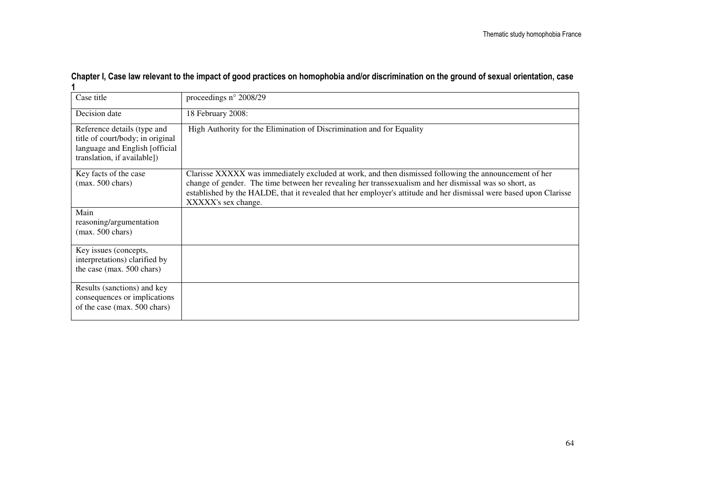| Chapter I, Case law relevant to the impact of good practices on homophobia and/or discrimination on the ground of sexual orientation, case |  |
|--------------------------------------------------------------------------------------------------------------------------------------------|--|
|                                                                                                                                            |  |

| Case title                                                                                                                       | proceedings $n^{\circ}$ 2008/29                                                                                                                                                                                                                                                                                                                              |
|----------------------------------------------------------------------------------------------------------------------------------|--------------------------------------------------------------------------------------------------------------------------------------------------------------------------------------------------------------------------------------------------------------------------------------------------------------------------------------------------------------|
| Decision date                                                                                                                    | 18 February 2008:                                                                                                                                                                                                                                                                                                                                            |
| Reference details (type and<br>title of court/body; in original<br>language and English [official<br>translation, if available]) | High Authority for the Elimination of Discrimination and for Equality                                                                                                                                                                                                                                                                                        |
| Key facts of the case<br>$(max. 500 \text{ chars})$                                                                              | Clarisse XXXXX was immediately excluded at work, and then dismissed following the announcement of her<br>change of gender. The time between her revealing her transsexualism and her dismissal was so short, as<br>established by the HALDE, that it revealed that her employer's attitude and her dismissal were based upon Clarisse<br>XXXXX's sex change. |
| Main<br>reasoning/argumentation<br>$(max. 500 \text{ chars})$                                                                    |                                                                                                                                                                                                                                                                                                                                                              |
| Key issues (concepts,<br>interpretations) clarified by<br>the case (max. 500 chars)                                              |                                                                                                                                                                                                                                                                                                                                                              |
| Results (sanctions) and key<br>consequences or implications<br>of the case (max. 500 chars)                                      |                                                                                                                                                                                                                                                                                                                                                              |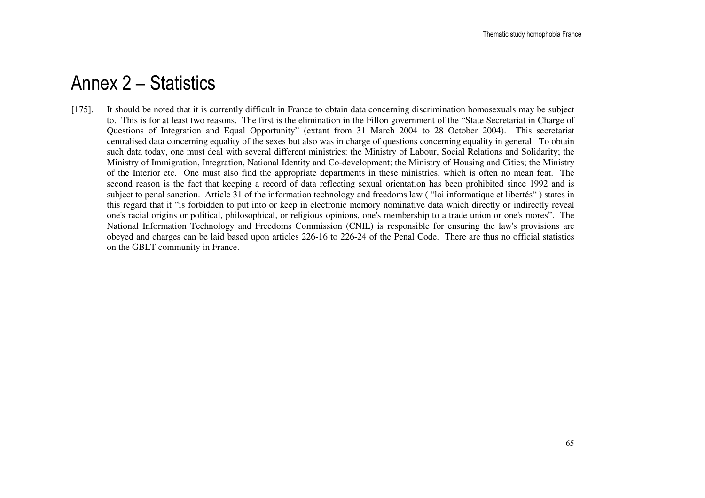# Annex 2 – Statistics

[175]. It should be noted that it is currently difficult in France to obtain data concerning discrimination homosexuals may be subject to. This is for at least two reasons. The first is the elimination in the Fillon government of the "State Secretariat in Charge of Questions of Integration and Equal Opportunity" (extant from 31 March 2004 to 28 October 2004). This secretariat centralised data concerning equality of the sexes but also was in charge of questions concerning equality in general. To obtain such data today, one must deal with several different ministries: the Ministry of Labour, Social Relations and Solidarity; the Ministry of Immigration, Integration, National Identity and Co-development; the Ministry of Housing and Cities; the Ministry of the Interior etc. One must also find the appropriate departments in these ministries, which is often no mean feat. The second reason is the fact that keeping a record of data reflecting sexual orientation has been prohibited since 1992 and is subject to penal sanction. Article 31 of the information technology and freedoms law ( "loi informatique et libertés" ) states in this regard that it "is forbidden to put into or keep in electronic memory nominative data which directly or indirectly reveal one's racial origins or political, philosophical, or religious opinions, one's membership to a trade union or one's mores". The National Information Technology and Freedoms Commission (CNIL) is responsible for ensuring the law's provisions are obeyed and charges can be laid based upon articles 226-16 to 226-24 of the Penal Code. There are thus no official statistics on the GBLT community in France.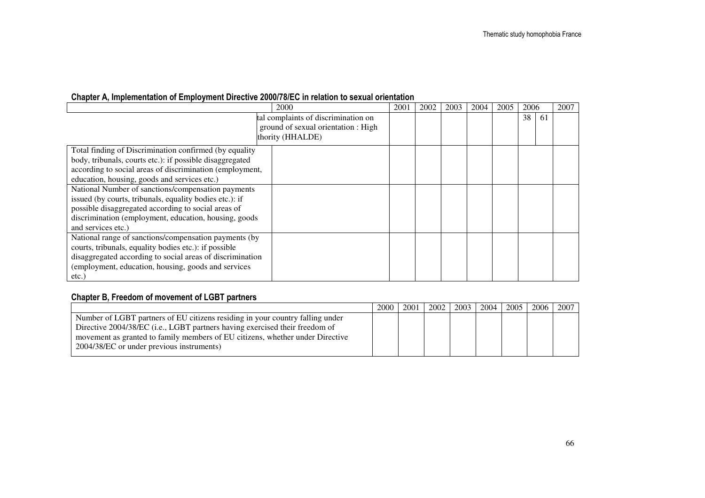#### Chapter A, Implementation of Employment Directive 2000/78/EC in relation to sexual orientation

|                                                           | 2000                                                                       | 2001 | 2002 | 2003 | 2004 | 2005 | 2006 |     | 2007 |
|-----------------------------------------------------------|----------------------------------------------------------------------------|------|------|------|------|------|------|-----|------|
|                                                           | tal complaints of discrimination on<br>ground of sexual orientation : High |      |      |      |      |      | 38   | -61 |      |
|                                                           | thority (HHALDE)                                                           |      |      |      |      |      |      |     |      |
| Total finding of Discrimination confirmed (by equality    |                                                                            |      |      |      |      |      |      |     |      |
| body, tribunals, courts etc.): if possible disaggregated  |                                                                            |      |      |      |      |      |      |     |      |
| according to social areas of discrimination (employment,  |                                                                            |      |      |      |      |      |      |     |      |
| education, housing, goods and services etc.)              |                                                                            |      |      |      |      |      |      |     |      |
| National Number of sanctions/compensation payments        |                                                                            |      |      |      |      |      |      |     |      |
| issued (by courts, tribunals, equality bodies etc.): if   |                                                                            |      |      |      |      |      |      |     |      |
| possible disaggregated according to social areas of       |                                                                            |      |      |      |      |      |      |     |      |
| discrimination (employment, education, housing, goods)    |                                                                            |      |      |      |      |      |      |     |      |
| and services etc.)                                        |                                                                            |      |      |      |      |      |      |     |      |
| National range of sanctions/compensation payments (by     |                                                                            |      |      |      |      |      |      |     |      |
| courts, tribunals, equality bodies etc.): if possible     |                                                                            |      |      |      |      |      |      |     |      |
| disaggregated according to social areas of discrimination |                                                                            |      |      |      |      |      |      |     |      |
| (employment, education, housing, goods and services       |                                                                            |      |      |      |      |      |      |     |      |
| $etc.$ )                                                  |                                                                            |      |      |      |      |      |      |     |      |

#### Chapter B, Freedom of movement of LGBT partners

|                                                                               | 2000 | 2001 | 2002 | 2003 | 2004 | 2005 | 2006 | 2007 |
|-------------------------------------------------------------------------------|------|------|------|------|------|------|------|------|
| Number of LGBT partners of EU citizens residing in your country falling under |      |      |      |      |      |      |      |      |
| Directive 2004/38/EC (i.e., LGBT partners having exercised their freedom of   |      |      |      |      |      |      |      |      |
| movement as granted to family members of EU citizens, whether under Directive |      |      |      |      |      |      |      |      |
| 2004/38/EC or under previous instruments)                                     |      |      |      |      |      |      |      |      |
|                                                                               |      |      |      |      |      |      |      |      |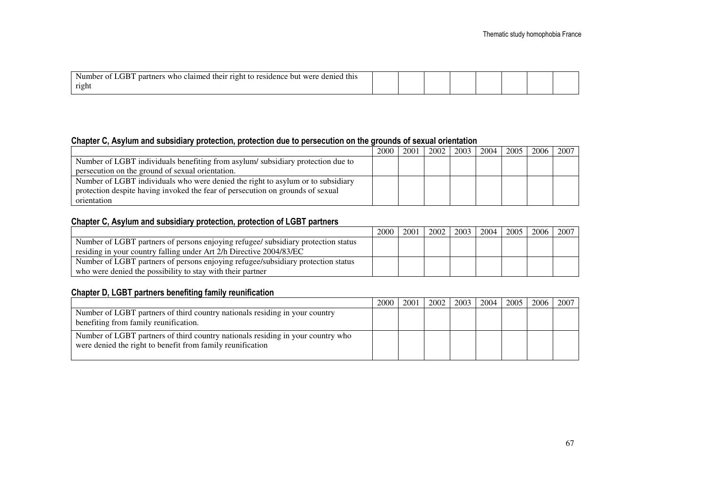| $\sim$ $\sim$ $\sim$<br>this<br>claimed their<br><i>nartners</i><br>who<br>but<br>were<br>e denied<br>to residence<br>Number<br>ി T<br>' rıght<br>ιïΗ |  |  |  |  |
|-------------------------------------------------------------------------------------------------------------------------------------------------------|--|--|--|--|
| right                                                                                                                                                 |  |  |  |  |

#### Chapter C, Asylum and subsidiary protection, protection due to persecution on the grounds of sexual orientation

|                                                                                 | 2000 | 2001 | 2002 | 2003 | 2004 | 2005 | 2006 | 2007 |
|---------------------------------------------------------------------------------|------|------|------|------|------|------|------|------|
| Number of LGBT individuals benefiting from asylum/ subsidiary protection due to |      |      |      |      |      |      |      |      |
| persecution on the ground of sexual orientation.                                |      |      |      |      |      |      |      |      |
| Number of LGBT individuals who were denied the right to asylum or to subsidiary |      |      |      |      |      |      |      |      |
| protection despite having invoked the fear of persecution on grounds of sexual  |      |      |      |      |      |      |      |      |
| orientation                                                                     |      |      |      |      |      |      |      |      |

#### Chapter C, Asylum and subsidiary protection, protection of LGBT partners

|                                                                                                                                                          | 2000 | 2001 | 2002 | 2003 | 2004 | 2005 | 2006 L | 2007 |
|----------------------------------------------------------------------------------------------------------------------------------------------------------|------|------|------|------|------|------|--------|------|
| Number of LGBT partners of persons enjoying refugee/ subsidiary protection status<br>residing in your country falling under Art 2/h Directive 2004/83/EC |      |      |      |      |      |      |        |      |
| Number of LGBT partners of persons enjoying refugee/subsidiary protection status                                                                         |      |      |      |      |      |      |        |      |
| who were denied the possibility to stay with their partner                                                                                               |      |      |      |      |      |      |        |      |

#### Chapter D, LGBT partners benefiting family reunification

|                                                                                 | 2000 | 2001 | 2002 | 2003 | 2004 | 2005 l | 2006 l | 2007 |
|---------------------------------------------------------------------------------|------|------|------|------|------|--------|--------|------|
| Number of LGBT partners of third country nationals residing in your country     |      |      |      |      |      |        |        |      |
| benefiting from family reunification.                                           |      |      |      |      |      |        |        |      |
| Number of LGBT partners of third country nationals residing in your country who |      |      |      |      |      |        |        |      |
| were denied the right to benefit from family reunification                      |      |      |      |      |      |        |        |      |
|                                                                                 |      |      |      |      |      |        |        |      |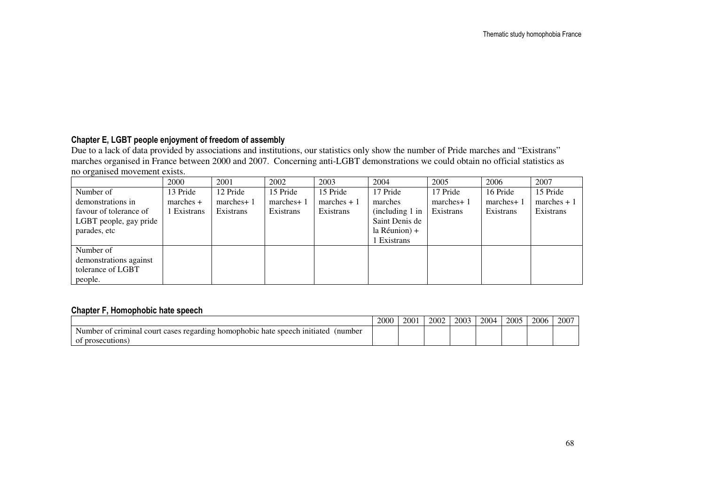#### Chapter E, LGBT people enjoyment of freedom of assembly

Due to a lack of data provided by associations and institutions, our statistics only show the number of Pride marches and "Existrans" marches organised in France between 2000 and 2007. Concerning anti-LGBT demonstrations w no organised movement exists.

|                        | 2000        | 2001        | 2002        | 2003         | 2004            | 2005        | 2006        | 2007          |
|------------------------|-------------|-------------|-------------|--------------|-----------------|-------------|-------------|---------------|
| Number of              | 13 Pride    | 12 Pride    | 15 Pride    | 15 Pride     | 17 Pride        | 17 Pride    | 16 Pride    | 15 Pride      |
| demonstrations in      | $marches +$ | $marches+1$ | $marches+1$ | marches $+1$ | marches         | $marches+1$ | $marches+1$ | $marches + 1$ |
| favour of tolerance of | Existrans   | Existrans   | Existrans   | Existrans    | (including 1 in | Existrans   | Existrans   | Existrans     |
| LGBT people, gay pride |             |             |             |              | Saint Denis de  |             |             |               |
| parades, etc           |             |             |             |              | la Réunion) +   |             |             |               |
|                        |             |             |             |              | 1 Existrans     |             |             |               |
| Number of              |             |             |             |              |                 |             |             |               |
| demonstrations against |             |             |             |              |                 |             |             |               |
| tolerance of LGBT      |             |             |             |              |                 |             |             |               |
| people.                |             |             |             |              |                 |             |             |               |

#### Chapter F, Homophobic hate speech

|                                                                                                                   | 2000 | 2001 | 2002 | 2003 | 2004 | 2005 | 2006 | 2007 |
|-------------------------------------------------------------------------------------------------------------------|------|------|------|------|------|------|------|------|
| (number<br>regarding<br>criminal<br>, homophobic<br>sneech<br>-initiated<br>cour<br>Number<br>വ.<br>hate<br>cases |      |      |      |      |      |      |      |      |
| prosecutions.                                                                                                     |      |      |      |      |      |      |      |      |